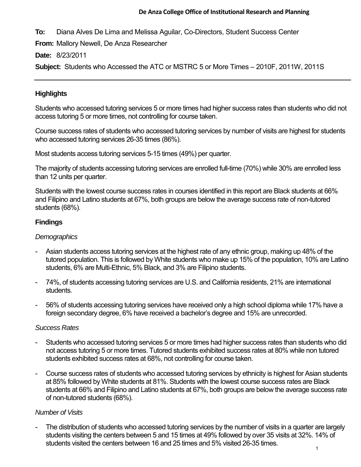#### **De Anza College Office of Institutional Research and Planning**

**To:** Diana Alves De Lima and Melissa Aguilar, Co-Directors, Student Success Center

**From:** Mallory Newell, De Anza Researcher

**Date:** 8/23/2011

**Subject:** Students who Accessed the ATC or MSTRC 5 or More Times – 2010F, 2011W, 2011S

## **Highlights**

Students who accessed tutoring services 5 or more times had higher success rates than students who did not access tutoring 5 or more times, not controlling for course taken.

Course success rates of students who accessed tutoring services by number of visits are highest for students who accessed tutoring services 26-35 times (86%).

Most students access tutoring services 5-15 times (49%) per quarter.

The majority of students accessing tutoring services are enrolled full-time (70%) while 30% are enrolled less than 12 units per quarter.

Students with the lowest course success rates in courses identified in this report are Black students at 66% and Filipino and Latino students at 67%, both groups are below the average success rate of non-tutored students (68%).

#### **Findings**

#### *Demographics*

- Asian students access tutoring services at the highest rate of any ethnic group, making up 48% of the tutored population. This is followed by White students who make up 15% of the population, 10% are Latino students, 6% are Multi-Ethnic, 5% Black, and 3% are Filipino students.
- 74%, of students accessing tutoring services are U.S. and California residents, 21% are international students.
- 56% of students accessing tutoring services have received only a high school diploma while 17% have a foreign secondary degree, 6% have received a bachelor's degree and 15% are unrecorded.

#### *Success Rates*

- Students who accessed tutoring services 5 or more times had higher success rates than students who did not access tutoring 5 or more times. Tutored students exhibited success rates at 80% while non tutored students exhibited success rates at 68%, not controlling for course taken.
- Course success rates of students who accessed tutoring services by ethnicity is highest for Asian students at 85% followed by White students at 81%. Students with the lowest course success rates are Black students at 66% and Filipino and Latino students at 67%, both groups are below the average success rate of non-tutored students (68%).

### *Number of Visits*

- The distribution of students who accessed tutoring services by the number of visits in a quarter are largely students visiting the centers between 5 and 15 times at 49% followed by over 35 visits at 32%. 14% of students visited the centers between 16 and 25 times and 5% visited 26-35 times.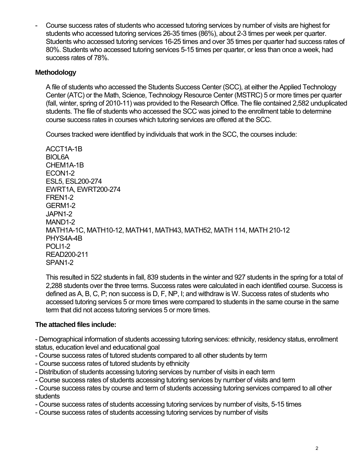- Course success rates of students who accessed tutoring services by number of visits are highest for students who accessed tutoring services 26-35 times (86%), about 2-3 times per week per quarter. Students who accessed tutoring services 16-25 times and over 35 times per quarter had success rates of 80%. Students who accessed tutoring services 5-15 times per quarter, or less than once a week, had success rates of 78%.

#### **Methodology**

A file of students who accessed the Students Success Center (SCC), at either the Applied Technology Center (ATC) or the Math, Science, Technology Resource Center (MSTRC) 5 or more times per quarter (fall, winter, spring of 2010-11) was provided to the Research Office. The file contained 2,582 unduplicated students. The file of students who accessed the SCC was joined to the enrollment table to determine course success rates in courses which tutoring services are offered at the SCC.

Courses tracked were identified by individuals that work in the SCC, the courses include:

ACCT1A-1B BIOL6A CHEM1A-1B ECON1-2 ESL5, ESL200-274 EWRT1A, EWRT200-274 FREN1-2 GERM1-2 JAPN1-2 MAND1-2 MATH1A-1C, MATH10-12, MATH41, MATH43, MATH52, MATH 114, MATH 210-12 PHYS4A-4B POLI1-2 READ200-211 SPAN1-2

This resulted in 522 students in fall, 839 students in the winter and 927 students in the spring for a total of 2,288 students over the three terms. Success rates were calculated in each identified course. Success is defined as A, B, C, P; non success is D, F, NP, I; and withdraw is W. Success rates of students who accessed tutoring services 5 or more times were compared to students in the same course in the same term that did not access tutoring services 5 or more times.

### **The attached files include:**

- Demographical information of students accessing tutoring services: ethnicity, residency status, enrollment status, education level and educational goal

- Course success rates of tutored students compared to all other students by term
- Course success rates of tutored students by ethnicity
- Distribution of students accessing tutoring services by number of visits in each term
- Course success rates of students accessing tutoring services by number of visits and term
- Course success rates by course and term of students accessing tutoring services compared to all other students
- Course success rates of students accessing tutoring services by number of visits, 5-15 times
- Course success rates of students accessing tutoring services by number of visits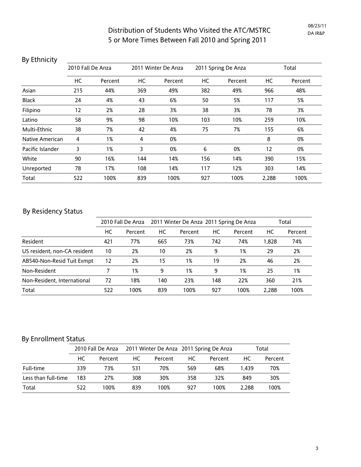| DY LUITTICITY    |                   |         |     |                     |     |                     |       |         |
|------------------|-------------------|---------|-----|---------------------|-----|---------------------|-------|---------|
|                  | 2010 Fall De Anza |         |     | 2011 Winter De Anza |     | 2011 Spring De Anza |       | Total   |
|                  | HC                | Percent | HC  | Percent             | HC  | Percent             | HC    | Percent |
| Asian            | 215               | 44%     | 369 | 49%                 | 382 | 49%                 | 966   | 48%     |
| <b>Black</b>     | 24                | 4%      | 43  | 6%                  | 50  | 5%                  | 117   | 5%      |
| Filipino         | 12                | 2%      | 28  | 3%                  | 38  | 3%                  | 78    | 3%      |
| Latino           | 58                | 9%      | 98  | 10%                 | 103 | 10%                 | 259   | 10%     |
| Multi-Ethnic     | 38                | 7%      | 42  | 4%                  | 75  | 7%                  | 155   | 6%      |
| Native American  | 4                 | 1%      | 4   | 0%                  |     |                     | 8     | 0%      |
| Pacific Islander | 3                 | 1%      | 3   | 0%                  | 6   | 0%                  | 12    | 0%      |
| White            | 90                | 16%     | 144 | 14%                 | 156 | 14%                 | 390   | 15%     |
| Unreported       | 78                | 17%     | 108 | 14%                 | 117 | 12%                 | 303   | 14%     |
| Total            | 522               | 100%    | 839 | 100%                | 927 | 100%                | 2,288 | 100%    |

### By Ethnicity

## By Residency Status

|                              |     | 2010 Fall De Anza |     | 2011 Winter De Anza 2011 Spring De Anza |     | Total   |       |         |
|------------------------------|-----|-------------------|-----|-----------------------------------------|-----|---------|-------|---------|
|                              | НC  | Percent           | НC  | Percent                                 | НC  | Percent | НC    | Percent |
| Resident                     | 421 | 77%               | 665 | 73%                                     | 742 | 74%     | 1,828 | 74%     |
| US resident, non-CA resident | 10  | 2%                | 10  | 2%                                      | 9   | 1%      | 29    | 2%      |
| AB540-Non-Resid Tuit Exmpt   | 12  | 2%                | 15  | 1%                                      | 19  | 2%      | 46    | 2%      |
| Non-Resident                 |     | 1%                | 9   | 1%                                      | 9   | 1%      | 25    | 1%      |
| Non-Resident, International  | 72  | 18%               | 140 | 23%                                     | 148 | 22%     | 360   | 21%     |
| Total                        | 522 | 100%              | 839 | 100%                                    | 927 | 100%    | 2.288 | 100%    |

## By Enrollment Status

|                     |     | 2010 Fall De Anza |     |         |     | 2011 Winter De Anza 2011 Spring De Anza | Total |         |
|---------------------|-----|-------------------|-----|---------|-----|-----------------------------------------|-------|---------|
|                     | НC  | Percent           | НC  | Percent | HC. | Percent                                 | НC    | Percent |
| Full-time           | 339 | 73%               | 531 | 70%     | 569 | 68%                                     | 1.439 | 70%     |
| Less than full-time | 183 | 27%               | 308 | 30%     | 358 | 32%                                     | 849   | 30%     |
| Total               | 522 | 100%              | 839 | 100%    | 927 | 100%                                    | 2.288 | 100%    |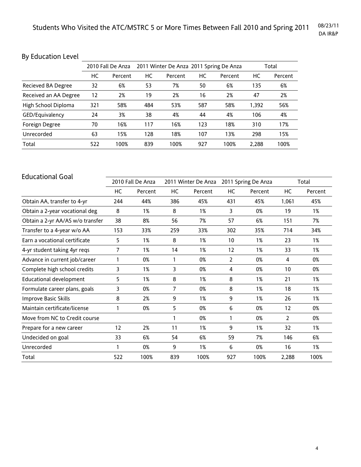# By Education Level

|                       |     | 2010 Fall De Anza |     | 2011 Winter De Anza 2011 Spring De Anza |     | Total   |       |         |
|-----------------------|-----|-------------------|-----|-----------------------------------------|-----|---------|-------|---------|
|                       | НC  | Percent           | НC  | Percent                                 | НC  | Percent | НC    | Percent |
| Recieved BA Degree    | 32  | 6%                | 53  | 7%                                      | 50  | 6%      | 135   | 6%      |
| Received an AA Degree | 12  | 2%                | 19  | 2%                                      | 16  | 2%      | 47    | 2%      |
| High School Diploma   | 321 | 58%               | 484 | 53%                                     | 587 | 58%     | 1.392 | 56%     |
| GED/Equivalency       | 24  | 3%                | 38  | 4%                                      | 44  | 4%      | 106   | 4%      |
| Foreign Degree        | 70  | 16%               | 117 | 16%                                     | 123 | 18%     | 310   | 17%     |
| Unrecorded            | 63  | 15%               | 128 | 18%                                     | 107 | 13%     | 298   | 15%     |
| Total                 | 522 | 100%              | 839 | 100%                                    | 927 | 100%    | 2,288 | 100%    |

| <b>Educational Goal</b>          |     |                   |              |                     |     |                     |                |         |
|----------------------------------|-----|-------------------|--------------|---------------------|-----|---------------------|----------------|---------|
|                                  |     | 2010 Fall De Anza |              | 2011 Winter De Anza |     | 2011 Spring De Anza |                | Total   |
|                                  | НC  | Percent           | HC           | Percent             | НC  | Percent             | НC             | Percent |
| Obtain AA, transfer to 4-yr      | 244 | 44%               | 386          | 45%                 | 431 | 45%                 | 1,061          | 45%     |
| Obtain a 2-year vocational deg   | 8   | 1%                | 8            | 1%                  | 3   | 0%                  | 19             | 1%      |
| Obtain a 2-yr AA/AS w/o transfer | 38  | 8%                | 56           | 7%                  | 57  | 6%                  | 151            | 7%      |
| Transfer to a 4-year w/o AA      | 153 | 33%               | 259          | 33%                 | 302 | 35%                 | 714            | 34%     |
| Earn a vocational certificate    | 5   | 1%                | 8            | 1%                  | 10  | 1%                  | 23             | 1%      |
| 4-yr student taking 4yr reqs     | 7   | 1%                | 14           | 1%                  | 12  | 1%                  | 33             | 1%      |
| Advance in current job/career    | 1   | 0%                | 1            | 0%                  | 2   | 0%                  | 4              | 0%      |
| Complete high school credits     | 3   | 1%                | 3            | 0%                  | 4   | 0%                  | 10             | 0%      |
| <b>Educational development</b>   | 5.  | 1%                | 8            | 1%                  | 8   | 1%                  | 21             | 1%      |
| Formulate career plans, goals    | 3   | 0%                | 7            | 0%                  | 8   | 1%                  | 18             | 1%      |
| Improve Basic Skills             | 8   | 2%                | 9            | 1%                  | 9   | 1%                  | 26             | 1%      |
| Maintain certificate/license     | 1   | 0%                | 5            | 0%                  | 6   | 0%                  | 12             | 0%      |
| Move from NC to Credit course    |     |                   | $\mathbf{1}$ | 0%                  | 1   | 0%                  | $\overline{2}$ | 0%      |
| Prepare for a new career         | 12  | 2%                | 11           | 1%                  | 9   | 1%                  | 32             | 1%      |
| Undecided on goal                | 33  | 6%                | 54           | 6%                  | 59  | 7%                  | 146            | 6%      |
| Unrecorded                       | 1   | 0%                | 9            | 1%                  | 6   | 0%                  | 16             | 1%      |
| Total                            | 522 | 100%              | 839          | 100%                | 927 | 100%                | 2,288          | 100%    |
|                                  |     |                   |              |                     |     |                     |                |         |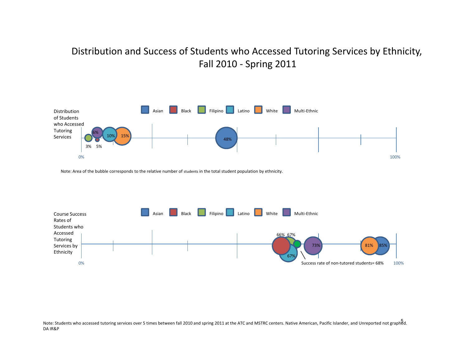# Distribution and Success of Students who Accessed Tutoring Services by Ethnicity, Fall 2010 ‐ Spring 2011



Note: Area of the bubble corresponds to the relative number of students in the total student population by ethnicity.

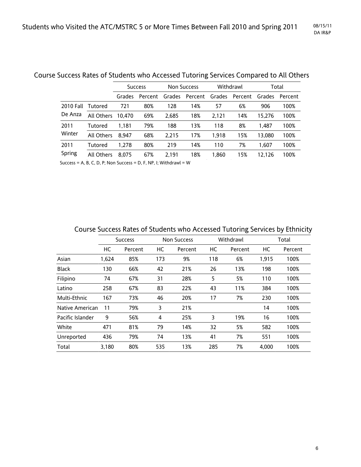|                  |            |        | <b>Success</b> |        | <b>Non Success</b> |        | Withdrawl | Total  |         |
|------------------|------------|--------|----------------|--------|--------------------|--------|-----------|--------|---------|
|                  |            | Grades | Percent        | Grades | Percent            | Grades | Percent   | Grades | Percent |
| <b>2010 Fall</b> | Tutored    | 721    | 80%            | 128    | 14%                | 57     | 6%        | 906    | 100%    |
| De Anza          | All Others | 10.470 | 69%            | 2.685  | 18%                | 2.121  | 14%       | 15.276 | 100%    |
| 2011             | Tutored    | 1.181  | 79%            | 188    | 13%                | 118    | 8%        | 1.487  | 100%    |
| Winter           | All Others | 8.947  | 68%            | 2.215  | 17%                | 1.918  | 15%       | 13,080 | 100%    |
| 2011<br>Spring   | Tutored    | 1.278  | 80%            | 219    | 14%                | 110    | 7%        | 1.607  | 100%    |
|                  | All Others | 8.075  | 67%            | 2.191  | 18%                | 1,860  | 15%       | 12.126 | 100%    |

## Course Success Rates of Students who Accessed Tutoring Services Compared to All Others

Success = A, B, C, D, P; Non Success = D, F, NP, I; Withdrawl = W

| Course Success Rates of Students who Accessed Tutoring Services by Ethnicity |  |
|------------------------------------------------------------------------------|--|
|------------------------------------------------------------------------------|--|

|                  |       | Success |     | <b>Non Success</b> |     | Withdrawl |       | Total   |
|------------------|-------|---------|-----|--------------------|-----|-----------|-------|---------|
|                  | HC    | Percent | НC  | Percent            | НC  | Percent   | HC    | Percent |
| Asian            | 1,624 | 85%     | 173 | 9%                 | 118 | 6%        | 1,915 | 100%    |
| <b>Black</b>     | 130   | 66%     | 42  | 21%                | 26  | 13%       | 198   | 100%    |
| Filipino         | 74    | 67%     | 31  | 28%                | 5   | 5%        | 110   | 100%    |
| Latino           | 258   | 67%     | 83  | 22%                | 43  | 11%       | 384   | 100%    |
| Multi-Ethnic     | 167   | 73%     | 46  | 20%                | 17  | 7%        | 230   | 100%    |
| Native American  | 11    | 79%     | 3   | 21%                |     |           | 14    | 100%    |
| Pacific Islander | 9     | 56%     | 4   | 25%                | 3   | 19%       | 16    | 100%    |
| White            | 471   | 81%     | 79  | 14%                | 32  | 5%        | 582   | 100%    |
| Unreported       | 436   | 79%     | 74  | 13%                | 41  | 7%        | 551   | 100%    |
| Total            | 3,180 | 80%     | 535 | 13%                | 285 | 7%        | 4,000 | 100%    |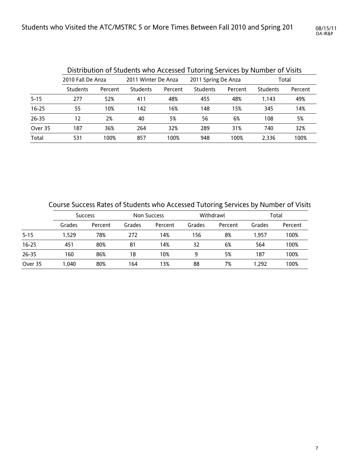|           |                   |         | Distribution of Students who Accessed Tutoring Services by Number of Visits |         |                     |         |          |         |  |
|-----------|-------------------|---------|-----------------------------------------------------------------------------|---------|---------------------|---------|----------|---------|--|
|           | 2010 Fall De Anza |         | 2011 Winter De Anza                                                         |         | 2011 Spring De Anza |         | Total    |         |  |
|           | Students          | Percent | <b>Students</b>                                                             | Percent | <b>Students</b>     | Percent | Students | Percent |  |
| $5 - 15$  | 277               | 52%     | 411                                                                         | 48%     | 455                 | 48%     | 1.143    | 49%     |  |
| $16 - 25$ | 55                | 10%     | 142                                                                         | 16%     | 148                 | 15%     | 345      | 14%     |  |
| $26 - 35$ | 12                | 2%      | 40                                                                          | 5%      | 56                  | 6%      | 108      | 5%      |  |
| Over 35   | 187               | 36%     | 264                                                                         | 32%     | 289                 | 31%     | 740      | 32%     |  |
| Total     | 531               | 100%    | 857                                                                         | 100%    | 948                 | 100%    | 2.336    | 100%    |  |

Course Success Rates of Students who Accessed Tutoring Services by Number of Visits

|           |        | <b>Success</b> | <b>Non Success</b> |         |        | Withdrawl | Total  |         |  |
|-----------|--------|----------------|--------------------|---------|--------|-----------|--------|---------|--|
|           | Grades | Percent        | Grades             | Percent | Grades | Percent   | Grades | Percent |  |
| $5 - 15$  | 1.529  | 78%            | 272                | 14%     | 156    | 8%        | 1.957  | 100%    |  |
| $16 - 25$ | 451    | 80%            | 81                 | 14%     | 32     | 6%        | 564    | 100%    |  |
| 26-35     | 160    | 86%            | 18                 | 10%     | 9      | 5%        | 187    | 100%    |  |
| Over 35   | 1.040  | 80%            | 164                | 13%     | 88     | 7%        | 1.292  | 100%    |  |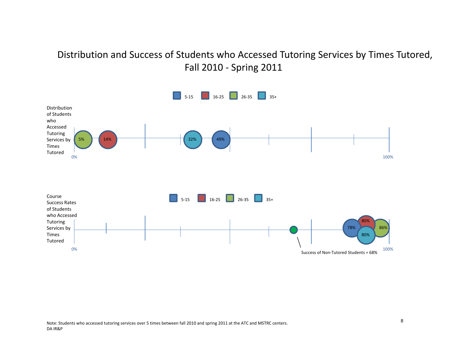# Distribution and Success of Students who Accessed Tutoring Services by Times Tutored, Fall 2010 - Spring 2011

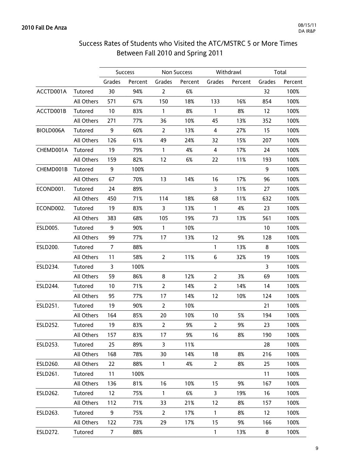# Success Rates of Students who Visited the ATC/MSTRC 5 or More Times Between Fall 2010 and Spring 2011

|                 |            |                   | Success |                | Non Success |                | Withdrawl |              | Total   |
|-----------------|------------|-------------------|---------|----------------|-------------|----------------|-----------|--------------|---------|
|                 |            | Grades            | Percent | Grades         | Percent     | Grades         | Percent   | Grades       | Percent |
| ACCTD001A       | Tutored    | 30                | 94%     | $\overline{2}$ | 6%          |                |           | 32           | 100%    |
|                 | All Others | 571               | 67%     | 150            | 18%         | 133            | 16%       | 854          | 100%    |
| ACCTD001B       | Tutored    | 10                | 83%     | $\mathbf{1}$   | 8%          | $\mathbf{1}$   | 8%        | 12           | 100%    |
|                 | All Others | 271               | 77%     | 36             | 10%         | 45             | 13%       | 352          | 100%    |
| BIOLD006A       | Tutored    | 9                 | 60%     | $\overline{2}$ | 13%         | 4              | 27%       | 15           | 100%    |
|                 | All Others | 126               | 61%     | 49             | 24%         | 32             | 15%       | 207          | 100%    |
| CHEMD001A       | Tutored    | 19                | 79%     | $\mathbf{1}$   | 4%          | 4              | 17%       | 24           | 100%    |
|                 | All Others | 159               | 82%     | 12             | 6%          | 22             | 11%       | 193          | 100%    |
| CHEMD001B       | Tutored    | 9                 | 100%    |                |             |                |           | 9            | 100%    |
|                 | All Others | 67                | 70%     | 13             | 14%         | 16             | 17%       | 96           | 100%    |
| ECOND001.       | Tutored    | 24                | 89%     |                |             | $\mathbf{3}$   | 11%       | 27           | 100%    |
|                 | All Others | 450               | 71%     | 114            | 18%         | 68             | 11%       | 632          | 100%    |
| ECOND002.       | Tutored    | 19                | 83%     | $\mathbf{3}$   | 13%         | $\mathbf{1}$   | 4%        | 23           | 100%    |
|                 | All Others | 383               | 68%     | 105            | 19%         | 73             | 13%       | 561          | 100%    |
| <b>ESLD005.</b> | Tutored    | 9                 | 90%     | $\mathbf{1}$   | 10%         |                |           | 10           | 100%    |
|                 | All Others | 99                | 77%     | 17             | 13%         | 12             | 9%        | 128          | 100%    |
| ESLD200.        | Tutored    | $\overline{7}$    | 88%     |                |             | 1              | 13%       | 8            | 100%    |
|                 | All Others | 11                | 58%     | $\overline{2}$ | 11%         | 6              | 32%       | 19           | 100%    |
| ESLD234.        | Tutored    | $\overline{3}$    | 100%    |                |             |                |           | $\mathbf{3}$ | 100%    |
|                 | All Others | 59                | 86%     | 8              | 12%         | $\overline{2}$ | 3%        | 69           | 100%    |
| ESLD244.        | Tutored    | 10                | 71%     | $\overline{2}$ | 14%         | $\overline{2}$ | 14%       | 14           | 100%    |
|                 | All Others | 95                | 77%     | 17             | 14%         | 12             | 10%       | 124          | 100%    |
| ESLD251.        | Tutored    | 19                | 90%     | $\overline{2}$ | 10%         |                |           | 21           | 100%    |
|                 | All Others | 164               | 85%     | 20             | 10%         | 10             | 5%        | 194          | 100%    |
| ESLD252.        | Tutored    | 19                | 83%     | $\overline{2}$ | 9%          | $\overline{2}$ | 9%        | 23           | 100%    |
|                 | All Others | 157               | 83%     | 17             | 9%          | 16             | 8%        | 190          | 100%    |
| ESLD253.        | Tutored    | 25                | 89%     | $\overline{3}$ | 11%         |                |           | 28           | 100%    |
|                 | All Others | 168               | 78%     | 30             | 14%         | 18             | 8%        | 216          | 100%    |
| ESLD260.        | All Others | 22                | 88%     | $\mathbf{1}$   | 4%          | $\overline{2}$ | 8%        | 25           | 100%    |
| ESLD261.        | Tutored    | 11                | 100%    |                |             |                |           | 11           | 100%    |
|                 | All Others | 136               | 81%     | 16             | 10%         | 15             | 9%        | 167          | 100%    |
| ESLD262.        | Tutored    | $12 \overline{ }$ | 75%     | $\mathbf{1}$   | 6%          | 3              | 19%       | 16           | 100%    |
|                 | All Others | 112               | 71%     | 33             | 21%         | 12             | 8%        | 157          | 100%    |
| ESLD263.        | Tutored    | 9                 | 75%     | $\overline{2}$ | 17%         | $\mathbf{1}$   | 8%        | 12           | 100%    |
|                 | All Others | 122               | 73%     | 29             | 17%         | 15             | 9%        | 166          | 100%    |
| ESLD272.        | Tutored    | $\overline{7}$    | 88%     |                |             | $\mathbf{1}$   | 13%       | 8            | 100%    |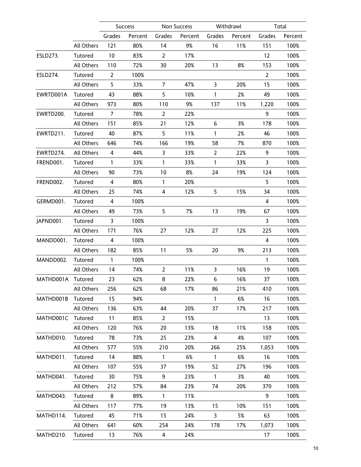|                   |                   |                | <b>Success</b> |                | <b>Non Success</b> |                | Withdrawl |                | Total   |
|-------------------|-------------------|----------------|----------------|----------------|--------------------|----------------|-----------|----------------|---------|
|                   |                   | Grades         | Percent        | Grades         | Percent            | Grades         | Percent   | Grades         | Percent |
|                   | All Others        | 121            | 80%            | 14             | 9%                 | 16             | 11%       | 151            | 100%    |
| <b>ESLD273.</b>   | Tutored           | 10             | 83%            | $\overline{2}$ | 17%                |                |           | 12             | 100%    |
|                   | All Others        | 110            | 72%            | 30             | 20%                | 13             | 8%        | 153            | 100%    |
| ESLD274.          | Tutored           | $\overline{2}$ | 100%           |                |                    |                |           | $\overline{2}$ | 100%    |
|                   | All Others        | 5              | 33%            | 7              | 47%                | 3              | 20%       | 15             | 100%    |
| EWRTD001A         | Tutored           | 43             | 88%            | 5              | 10%                | $\mathbf{1}$   | 2%        | 49             | 100%    |
|                   | All Others        | 973            | 80%            | 110            | 9%                 | 137            | 11%       | 1,220          | 100%    |
| EWRTD200.         | Tutored           | $\overline{7}$ | 78%            | $\overline{2}$ | 22%                |                |           | 9              | 100%    |
|                   | All Others        | 151            | 85%            | 21             | 12%                | 6              | 3%        | 178            | 100%    |
| EWRTD211.         | Tutored           | 40             | 87%            | 5              | 11%                | $\mathbf{1}$   | 2%        | 46             | 100%    |
|                   | <b>All Others</b> | 646            | 74%            | 166            | 19%                | 58             | 7%        | 870            | 100%    |
| EWRTD274.         | All Others        | $\overline{4}$ | 44%            | $\mathbf{3}$   | 33%                | $\overline{2}$ | 22%       | 9              | 100%    |
| FREND001.         | Tutored           | $\mathbf{1}$   | 33%            | $\mathbf{1}$   | 33%                | $\mathbf{1}$   | 33%       | 3              | 100%    |
|                   | All Others        | 90             | 73%            | 10             | 8%                 | 24             | 19%       | 124            | 100%    |
| FREND002.         | Tutored           | 4              | 80%            | $\mathbf{1}$   | 20%                |                |           | 5              | 100%    |
|                   | All Others        | 25             | 74%            | $\overline{4}$ | 12%                | 5              | 15%       | 34             | 100%    |
| GERMD001.         | Tutored           | $\overline{4}$ | 100%           |                |                    |                |           | 4              | 100%    |
|                   | All Others        | 49             | 73%            | 5              | 7%                 | 13             | 19%       | 67             | 100%    |
| JAPND001.         | Tutored           | 3              | 100%           |                |                    |                |           | 3              | 100%    |
|                   | All Others        | 171            | 76%            | 27             | 12%                | 27             | 12%       | 225            | 100%    |
| MANDD001.         | Tutored           | $\overline{4}$ | 100%           |                |                    |                |           | $\overline{4}$ | 100%    |
|                   | All Others        | 182            | 85%            | 11             | 5%                 | 20             | 9%        | 213            | 100%    |
| MANDD002.         | Tutored           | $\mathbf{1}$   | 100%           |                |                    |                |           | $\mathbf{1}$   | 100%    |
|                   | All Others        | 14             | 74%            | $\overline{2}$ | 11%                | 3              | 16%       | 19             | 100%    |
| MATHD001A Tutored |                   | 23             | 62%            | 8              | 22%                | 6              | 16%       | 37             | 100%    |
|                   | All Others        | 256            | 62%            | 68             | 17%                | 86             | 21%       | 410            | 100%    |
| MATHD001B         | Tutored           | 15             | 94%            |                |                    | $\mathbf{1}$   | 6%        | 16             | 100%    |
|                   | All Others        | 136            | 63%            | 44             | 20%                | 37             | 17%       | 217            | 100%    |
| MATHD001C         | Tutored           | 11             | 85%            | $\overline{2}$ | 15%                |                |           | 13             | 100%    |
|                   | All Others        | 120            | 76%            | 20             | 13%                | 18             | 11%       | 158            | 100%    |
| MATHD010.         | Tutored           | 78             | 73%            | 25             | 23%                | 4              | 4%        | 107            | 100%    |
|                   | All Others        | 577            | 55%            | 210            | 20%                | 266            | 25%       | 1,053          | 100%    |
| MATHD011.         | Tutored           | 14             | 88%            | $\mathbf{1}$   | 6%                 | $\mathbf{1}$   | 6%        | 16             | 100%    |
|                   | All Others        | 107            | 55%            | 37             | 19%                | 52             | 27%       | 196            | 100%    |
| MATHD041.         | Tutored           | 30             | 75%            | 9              | 23%                | $\mathbf{1}$   | 3%        | 40             | 100%    |
|                   | All Others        | 212            | 57%            | 84             | 23%                | 74             | 20%       | 370            | 100%    |
| MATHD043.         | Tutored           | 8              | 89%            | $\mathbf{1}$   | 11%                |                |           | 9              | 100%    |
|                   | All Others        | 117            | 77%            | 19             | 13%                | 15             | 10%       | 151            | 100%    |
| MATHD114.         | Tutored           | 45             | 71%            | 15             | 24%                | 3              | 5%        | 63             | 100%    |
|                   | All Others        | 641            | 60%            | 254            | 24%                | 178            | 17%       | 1,073          | 100%    |
| MATHD210.         | Tutored           | 13             | 76%            | $\overline{4}$ | 24%                |                |           | 17             | 100%    |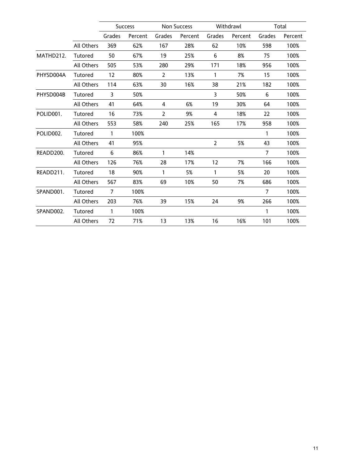|                        |            |                | <b>Success</b> |                | Non Success |                | Withdrawl |                | Total   |
|------------------------|------------|----------------|----------------|----------------|-------------|----------------|-----------|----------------|---------|
|                        |            | Grades         | Percent        | Grades         | Percent     | Grades         | Percent   | Grades         | Percent |
|                        | All Others | 369            | 62%            | 167            | 28%         | 62             | 10%       | 598            | 100%    |
| MATHD212.              | Tutored    | 50             | 67%            | 19             | 25%         | $6\phantom{1}$ | 8%        | 75             | 100%    |
|                        | All Others | 505            | 53%            | 280            | 29%         | 171            | 18%       | 956            | 100%    |
| PHYSD004A              | Tutored    | 12             | 80%            | $\overline{2}$ | 13%         | $\mathbf{1}$   | 7%        | 15             | 100%    |
|                        | All Others | 114            | 63%            | 30             | 16%         | 38             | 21%       | 182            | 100%    |
| PHYSD004B              | Tutored    | 3              | 50%            |                |             | 3              | 50%       | 6              | 100%    |
|                        | All Others | 41             | 64%            | 4              | 6%          | 19             | 30%       | 64             | 100%    |
| POLID <sub>001</sub> . | Tutored    | 16             | 73%            | 2              | 9%          | 4              | 18%       | 22             | 100%    |
|                        | All Others | 553            | 58%            | 240            | 25%         | 165            | 17%       | 958            | 100%    |
| POLID002.              | Tutored    | $\mathbf{1}$   | 100%           |                |             |                |           | $\mathbf{1}$   | 100%    |
|                        | All Others | 41             | 95%            |                |             | $\overline{2}$ | 5%        | 43             | 100%    |
| READD200.              | Tutored    | 6              | 86%            | $\mathbf{1}$   | 14%         |                |           | $\overline{7}$ | 100%    |
|                        | All Others | 126            | 76%            | 28             | 17%         | 12             | 7%        | 166            | 100%    |
| READD211.              | Tutored    | 18             | 90%            | $\mathbf{1}$   | 5%          | $\mathbf{1}$   | 5%        | 20             | 100%    |
|                        | All Others | 567            | 83%            | 69             | 10%         | 50             | 7%        | 686            | 100%    |
| SPAND001.              | Tutored    | $\overline{7}$ | 100%           |                |             |                |           | $\overline{7}$ | 100%    |
|                        | All Others | 203            | 76%            | 39             | 15%         | 24             | 9%        | 266            | 100%    |
| SPAND002.              | Tutored    | $\mathbf{1}$   | 100%           |                |             |                |           | 1              | 100%    |
|                        | All Others | 72             | 71%            | 13             | 13%         | 16             | 16%       | 101            | 100%    |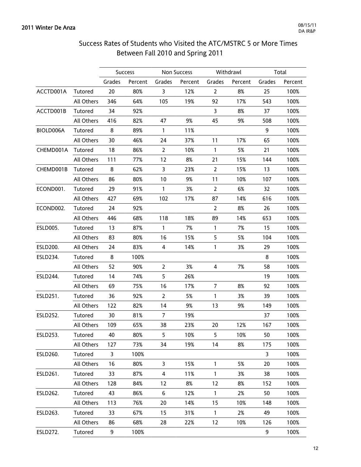# Success Rates of Students who Visited the ATC/MSTRC 5 or More Times Between Fall 2010 and Spring 2011

|                 |            |        | <b>Success</b> |                | Non Success |                | Withdrawl |        | Total   |
|-----------------|------------|--------|----------------|----------------|-------------|----------------|-----------|--------|---------|
|                 |            | Grades | Percent        | Grades         | Percent     | Grades         | Percent   | Grades | Percent |
| ACCTD001A       | Tutored    | 20     | 80%            | 3              | 12%         | $\overline{2}$ | 8%        | 25     | 100%    |
|                 | All Others | 346    | 64%            | 105            | 19%         | 92             | 17%       | 543    | 100%    |
| ACCTD001B       | Tutored    | 34     | 92%            |                |             | $\mathbf{3}$   | 8%        | 37     | 100%    |
|                 | All Others | 416    | 82%            | 47             | 9%          | 45             | 9%        | 508    | 100%    |
| BIOLD006A       | Tutored    | 8      | 89%            | $\mathbf{1}$   | 11%         |                |           | 9      | 100%    |
|                 | All Others | 30     | 46%            | 24             | 37%         | 11             | 17%       | 65     | 100%    |
| CHEMD001A       | Tutored    | 18     | 86%            | $\overline{2}$ | 10%         | $\mathbf{1}$   | 5%        | 21     | 100%    |
|                 | All Others | 111    | 77%            | 12             | 8%          | 21             | 15%       | 144    | 100%    |
| CHEMD001B       | Tutored    | 8      | 62%            | 3              | 23%         | $\overline{2}$ | 15%       | 13     | 100%    |
|                 | All Others | 86     | 80%            | 10             | 9%          | 11             | 10%       | 107    | 100%    |
| ECOND001.       | Tutored    | 29     | 91%            | $\mathbf{1}$   | 3%          | $\overline{2}$ | 6%        | 32     | 100%    |
|                 | All Others | 427    | 69%            | 102            | 17%         | 87             | 14%       | 616    | 100%    |
| ECOND002.       | Tutored    | 24     | 92%            |                |             | $\overline{2}$ | 8%        | 26     | 100%    |
|                 | All Others | 446    | 68%            | 118            | 18%         | 89             | 14%       | 653    | 100%    |
| <b>ESLD005.</b> | Tutored    | 13     | 87%            | $\mathbf{1}$   | 7%          | $\mathbf{1}$   | 7%        | 15     | 100%    |
|                 | All Others | 83     | 80%            | 16             | 15%         | 5              | 5%        | 104    | 100%    |
| ESLD200.        | All Others | 24     | 83%            | 4              | 14%         | $\mathbf{1}$   | 3%        | 29     | 100%    |
| ESLD234.        | Tutored    | 8      | 100%           |                |             |                |           | 8      | 100%    |
|                 | All Others | 52     | 90%            | $\overline{2}$ | 3%          | 4              | 7%        | 58     | 100%    |
| ESLD244.        | Tutored    | 14     | 74%            | 5              | 26%         |                |           | 19     | 100%    |
|                 | All Others | 69     | 75%            | 16             | 17%         | $\overline{7}$ | 8%        | 92     | 100%    |
| ESLD251.        | Tutored    | 36     | 92%            | $\overline{2}$ | 5%          | 1              | 3%        | 39     | 100%    |
|                 | All Others | 122    | 82%            | 14             | 9%          | 13             | 9%        | 149    | 100%    |
| ESLD252.        | Tutored    | 30     | 81%            | 7              | 19%         |                |           | 37     | 100%    |
|                 | All Others | 109    | 65%            | 38             | 23%         | 20             | 12%       | 167    | 100%    |
| ESLD253.        | Tutored    | 40     | 80%            | 5              | 10%         | 5              | 10%       | 50     | 100%    |
|                 | All Others | 127    | 73%            | 34             | 19%         | 14             | 8%        | 175    | 100%    |
| ESLD260.        | Tutored    | 3      | 100%           |                |             |                |           | 3      | 100%    |
|                 | All Others | 16     | 80%            | 3              | 15%         | 1              | 5%        | 20     | 100%    |
| ESLD261.        | Tutored    | 33     | 87%            | 4              | 11%         | 1              | 3%        | 38     | 100%    |
|                 | All Others | 128    | 84%            | 12             | 8%          | 12             | 8%        | 152    | 100%    |
| <b>ESLD262.</b> | Tutored    | 43     | 86%            | 6              | 12%         | $\mathbf{1}$   | 2%        | 50     | 100%    |
|                 | All Others | 113    | 76%            | 20             | 14%         | 15             | 10%       | 148    | 100%    |
| ESLD263.        | Tutored    | 33     | 67%            | 15             | 31%         | $\mathbf{1}$   | 2%        | 49     | 100%    |
|                 | All Others | 86     | 68%            | 28             | 22%         | 12             | 10%       | 126    | 100%    |
| ESLD272.        | Tutored    | 9      | 100%           |                |             |                |           | 9      | 100%    |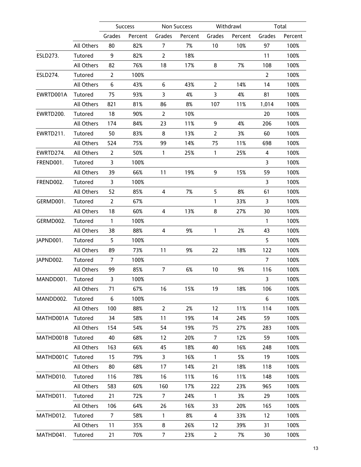|           |            |                | Success |                | Non Success |                | Withdrawl |                | Total   |
|-----------|------------|----------------|---------|----------------|-------------|----------------|-----------|----------------|---------|
|           |            | Grades         | Percent | Grades         | Percent     | Grades         | Percent   | Grades         | Percent |
|           | All Others | 80             | 82%     | $\overline{7}$ | 7%          | 10             | 10%       | 97             | 100%    |
| ESLD273.  | Tutored    | 9              | 82%     | $\overline{2}$ | 18%         |                |           | 11             | 100%    |
|           | All Others | 82             | 76%     | 18             | 17%         | 8              | 7%        | 108            | 100%    |
| ESLD274.  | Tutored    | $\overline{2}$ | 100%    |                |             |                |           | 2              | 100%    |
|           | All Others | 6              | 43%     | 6              | 43%         | $\overline{2}$ | 14%       | 14             | 100%    |
| EWRTD001A | Tutored    | 75             | 93%     | 3              | 4%          | 3              | 4%        | 81             | 100%    |
|           | All Others | 821            | 81%     | 86             | 8%          | 107            | 11%       | 1,014          | 100%    |
| EWRTD200. | Tutored    | 18             | 90%     | $\overline{2}$ | 10%         |                |           | 20             | 100%    |
|           | All Others | 174            | 84%     | 23             | 11%         | 9              | 4%        | 206            | 100%    |
| EWRTD211. | Tutored    | 50             | 83%     | 8              | 13%         | $\overline{2}$ | 3%        | 60             | 100%    |
|           | All Others | 524            | 75%     | 99             | 14%         | 75             | 11%       | 698            | 100%    |
| EWRTD274. | All Others | $\overline{2}$ | 50%     | $\mathbf{1}$   | 25%         | $\mathbf{1}$   | 25%       | 4              | 100%    |
| FREND001. | Tutored    | $\overline{3}$ | 100%    |                |             |                |           | 3              | 100%    |
|           | All Others | 39             | 66%     | 11             | 19%         | 9              | 15%       | 59             | 100%    |
| FREND002. | Tutored    | 3              | 100%    |                |             |                |           | 3              | 100%    |
|           | All Others | 52             | 85%     | 4              | 7%          | 5              | 8%        | 61             | 100%    |
| GERMD001. | Tutored    | $\overline{2}$ | 67%     |                |             | 1              | 33%       | 3              | 100%    |
|           | All Others | 18             | 60%     | 4              | 13%         | 8              | 27%       | 30             | 100%    |
| GERMD002. | Tutored    | $\mathbf{1}$   | 100%    |                |             |                |           | $\mathbf{1}$   | 100%    |
|           | All Others | 38             | 88%     | 4              | 9%          | 1              | 2%        | 43             | 100%    |
| JAPND001. | Tutored    | 5              | 100%    |                |             |                |           | 5              | 100%    |
|           | All Others | 89             | 73%     | 11             | 9%          | 22             | 18%       | 122            | 100%    |
| JAPND002. | Tutored    | $\overline{7}$ | 100%    |                |             |                |           | $\overline{7}$ | 100%    |
|           | All Others | 99             | 85%     | $\overline{7}$ | 6%          | 10             | 9%        | 116            | 100%    |
| MANDD001. | Tutored    | 3              | 100%    |                |             |                |           | 3              | 100%    |
|           | All Others | 71             | 67%     | 16             | 15%         | 19             | 18%       | 106            | 100%    |
| MANDD002. | Tutored    | 6              | 100%    |                |             |                |           | 6              | 100%    |
|           | All Others | 100            | 88%     | $\overline{2}$ | 2%          | 12             | 11%       | 114            | 100%    |
| MATHD001A | Tutored    | 34             | 58%     | 11             | 19%         | 14             | 24%       | 59             | 100%    |
|           | All Others | 154            | 54%     | 54             | 19%         | 75             | 27%       | 283            | 100%    |
| MATHD001B | Tutored    | 40             | 68%     | 12             | 20%         | $\overline{7}$ | 12%       | 59             | 100%    |
|           | All Others | 163            | 66%     | 45             | 18%         | 40             | 16%       | 248            | 100%    |
| MATHD001C | Tutored    | 15             | 79%     | $\overline{3}$ | 16%         | $\mathbf{1}$   | 5%        | 19             | 100%    |
|           | All Others | 80             | 68%     | 17             | 14%         | 21             | 18%       | 118            | 100%    |
| MATHD010. | Tutored    | 116            | 78%     | 16             | 11%         | 16             | 11%       | 148            | 100%    |
|           | All Others | 583            | 60%     | 160            | 17%         | 222            | 23%       | 965            | 100%    |
| MATHD011. | Tutored    | 21             | 72%     | $\overline{7}$ | 24%         | $\mathbf{1}$   | 3%        | 29             | 100%    |
|           | All Others | 106            | 64%     | 26             | 16%         | 33             | 20%       | 165            | 100%    |
| MATHD012. | Tutored    | $\overline{7}$ | 58%     | $\mathbf{1}$   | 8%          | 4              | 33%       | 12             | 100%    |
|           | All Others | 11             | 35%     | 8              | 26%         | 12             | 39%       | 31             | 100%    |
| MATHD041. | Tutored    | 21             | 70%     | $\overline{7}$ | 23%         | $\overline{2}$ | 7%        | 30             | 100%    |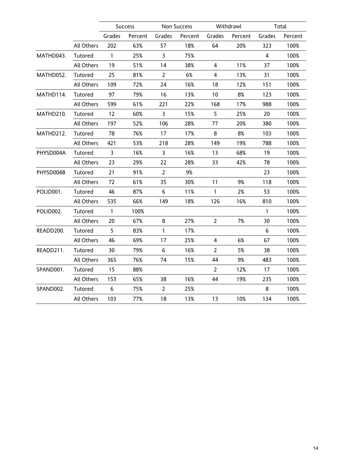|           |            |                | <b>Success</b> |                | <b>Non Success</b> |                         | Withdrawl |                | Total   |
|-----------|------------|----------------|----------------|----------------|--------------------|-------------------------|-----------|----------------|---------|
|           |            | Grades         | Percent        | Grades         | Percent            | Grades                  | Percent   | Grades         | Percent |
|           | All Others | 202            | 63%            | 57             | 18%                | 64                      | 20%       | 323            | 100%    |
| MATHD043. | Tutored    | $\mathbf{1}$   | 25%            | 3              | 75%                |                         |           | $\overline{4}$ | 100%    |
|           | All Others | 19             | 51%            | 14             | 38%                | 4                       | 11%       | 37             | 100%    |
| MATHD052. | Tutored    | 25             | 81%            | $\overline{2}$ | 6%                 | $\overline{\mathbf{4}}$ | 13%       | 31             | 100%    |
|           | All Others | 109            | 72%            | 24             | 16%                | 18                      | 12%       | 151            | 100%    |
| MATHD114. | Tutored    | 97             | 79%            | 16             | 13%                | 10                      | 8%        | 123            | 100%    |
|           | All Others | 599            | 61%            | 221            | 22%                | 168                     | 17%       | 988            | 100%    |
| MATHD210. | Tutored    | 12             | 60%            | $\overline{3}$ | 15%                | 5                       | 25%       | 20             | 100%    |
|           | All Others | 197            | 52%            | 106            | 28%                | 77                      | 20%       | 380            | 100%    |
| MATHD212. | Tutored    | 78             | 76%            | 17             | 17%                | 8                       | 8%        | 103            | 100%    |
|           | All Others | 421            | 53%            | 218            | 28%                | 149                     | 19%       | 788            | 100%    |
| PHYSD004A | Tutored    | $\overline{3}$ | 16%            | $\mathbf{3}$   | 16%                | 13                      | 68%       | 19             | 100%    |
|           | All Others | 23             | 29%            | 22             | 28%                | 33                      | 42%       | 78             | 100%    |
| PHYSD004B | Tutored    | 21             | 91%            | $\overline{2}$ | 9%                 |                         |           | 23             | 100%    |
|           | All Others | 72             | 61%            | 35             | 30%                | 11                      | 9%        | 118            | 100%    |
| POLID001. | Tutored    | 46             | 87%            | 6              | 11%                | $\mathbf{1}$            | 2%        | 53             | 100%    |
|           | All Others | 535            | 66%            | 149            | 18%                | 126                     | 16%       | 810            | 100%    |
| POLID002. | Tutored    | $\mathbf{1}$   | 100%           |                |                    |                         |           | $\mathbf{1}$   | 100%    |
|           | All Others | 20             | 67%            | 8              | 27%                | $\overline{2}$          | 7%        | 30             | 100%    |
| READD200. | Tutored    | 5              | 83%            | $\mathbf{1}$   | 17%                |                         |           | $6\phantom{1}$ | 100%    |
|           | All Others | 46             | 69%            | 17             | 25%                | 4                       | 6%        | 67             | 100%    |
| READD211. | Tutored    | 30             | 79%            | 6              | 16%                | $\overline{2}$          | 5%        | 38             | 100%    |
|           | All Others | 365            | 76%            | 74             | 15%                | 44                      | 9%        | 483            | 100%    |
| SPAND001. | Tutored    | 15             | 88%            |                |                    | $\overline{2}$          | 12%       | 17             | 100%    |
|           | All Others | 153            | 65%            | 38             | 16%                | 44                      | 19%       | 235            | 100%    |
| SPAND002. | Tutored    | 6              | 75%            | $\overline{2}$ | 25%                |                         |           | 8              | 100%    |
|           | All Others | 103            | 77%            | 18             | 13%                | 13                      | 10%       | 134            | 100%    |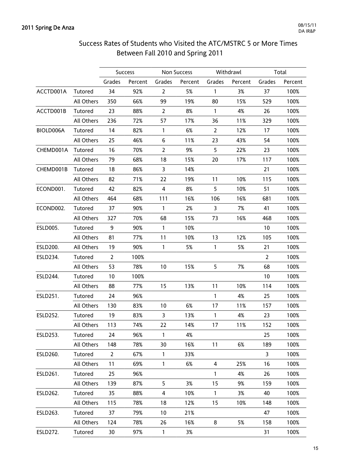# Success Rates of Students who Visited the ATC/MSTRC 5 or More Times Between Fall 2010 and Spring 2011

|                 |            |                | Success |                | Non Success |                | Withdrawl |                | Total   |
|-----------------|------------|----------------|---------|----------------|-------------|----------------|-----------|----------------|---------|
|                 |            | Grades         | Percent | Grades         | Percent     | Grades         | Percent   | Grades         | Percent |
| ACCTD001A       | Tutored    | 34             | 92%     | $\overline{2}$ | 5%          | 1              | 3%        | 37             | 100%    |
|                 | All Others | 350            | 66%     | 99             | 19%         | 80             | 15%       | 529            | 100%    |
| ACCTD001B       | Tutored    | 23             | 88%     | $\overline{2}$ | 8%          | $\mathbf{1}$   | 4%        | 26             | 100%    |
|                 | All Others | 236            | 72%     | 57             | 17%         | 36             | 11%       | 329            | 100%    |
| BIOLD006A       | Tutored    | 14             | 82%     | $\mathbf{1}$   | 6%          | $\overline{2}$ | 12%       | 17             | 100%    |
|                 | All Others | 25             | 46%     | 6              | 11%         | 23             | 43%       | 54             | 100%    |
| CHEMD001A       | Tutored    | 16             | 70%     | $\overline{2}$ | 9%          | 5              | 22%       | 23             | 100%    |
|                 | All Others | 79             | 68%     | 18             | 15%         | 20             | 17%       | 117            | 100%    |
| CHEMD001B       | Tutored    | 18             | 86%     | 3              | 14%         |                |           | 21             | 100%    |
|                 | All Others | 82             | 71%     | 22             | 19%         | 11             | 10%       | 115            | 100%    |
| ECOND001.       | Tutored    | 42             | 82%     | $\overline{4}$ | 8%          | 5              | 10%       | 51             | 100%    |
|                 | All Others | 464            | 68%     | 111            | 16%         | 106            | 16%       | 681            | 100%    |
| ECOND002.       | Tutored    | 37             | 90%     | $\mathbf{1}$   | 2%          | 3              | 7%        | 41             | 100%    |
|                 | All Others | 327            | 70%     | 68             | 15%         | 73             | 16%       | 468            | 100%    |
| <b>ESLD005.</b> | Tutored    | 9              | 90%     | $\mathbf{1}$   | 10%         |                |           | 10             | 100%    |
|                 | All Others | 81             | 77%     | 11             | 10%         | 13             | 12%       | 105            | 100%    |
| ESLD200.        | All Others | 19             | 90%     | $\mathbf{1}$   | 5%          | $\mathbf{1}$   | 5%        | 21             | 100%    |
| ESLD234.        | Tutored    | $\overline{2}$ | 100%    |                |             |                |           | $\overline{2}$ | 100%    |
|                 | All Others | 53             | 78%     | 10             | 15%         | 5              | 7%        | 68             | 100%    |
| ESLD244.        | Tutored    | 10             | 100%    |                |             |                |           | 10             | 100%    |
|                 | All Others | 88             | 77%     | 15             | 13%         | 11             | 10%       | 114            | 100%    |
| ESLD251.        | Tutored    | 24             | 96%     |                |             | $\mathbf{1}$   | 4%        | 25             | 100%    |
|                 | All Others | 130            | 83%     | 10             | 6%          | 17             | 11%       | 157            | 100%    |
| <b>ESLD252.</b> | Tutored    | 19             | 83%     | 3              | 13%         | $\mathbf{1}$   | 4%        | 23             | 100%    |
|                 | All Others | 113            | 74%     | 22             | 14%         | 17             | 11%       | 152            | 100%    |
| ESLD253.        | Tutored    | 24             | 96%     | 1              | 4%          |                |           | 25             | 100%    |
|                 | All Others | 148            | 78%     | 30             | 16%         | 11             | 6%        | 189            | 100%    |
| ESLD260.        | Tutored    | $\overline{2}$ | 67%     | $\mathbf{1}$   | 33%         |                |           | $\mathsf{3}$   | 100%    |
|                 | All Others | 11             | 69%     | 1              | 6%          | 4              | 25%       | 16             | 100%    |
| ESLD261.        | Tutored    | 25             | 96%     |                |             | 1              | 4%        | 26             | 100%    |
|                 | All Others | 139            | 87%     | 5              | 3%          | 15             | 9%        | 159            | 100%    |
| ESLD262.        | Tutored    | 35             | 88%     | $\overline{4}$ | 10%         | $\mathbf{1}$   | 3%        | 40             | 100%    |
|                 | All Others | 115            | 78%     | 18             | 12%         | 15             | 10%       | 148            | 100%    |
| ESLD263.        | Tutored    | 37             | 79%     | 10             | 21%         |                |           | 47             | 100%    |
|                 | All Others | 124            | 78%     | 26             | 16%         | 8              | 5%        | 158            | 100%    |
| ESLD272.        | Tutored    | 30             | 97%     | $\mathbf{1}$   | 3%          |                |           | 31             | 100%    |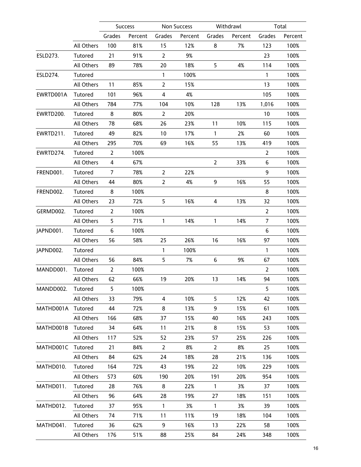|           |                   |                | <b>Success</b> |                | Non Success |                | Withdrawl |                | Total   |
|-----------|-------------------|----------------|----------------|----------------|-------------|----------------|-----------|----------------|---------|
|           |                   | Grades         | Percent        | Grades         | Percent     | Grades         | Percent   | Grades         | Percent |
|           | All Others        | 100            | 81%            | 15             | 12%         | 8              | 7%        | 123            | 100%    |
| ESLD273.  | Tutored           | 21             | 91%            | $\overline{2}$ | 9%          |                |           | 23             | 100%    |
|           | All Others        | 89             | 78%            | 20             | 18%         | 5              | 4%        | 114            | 100%    |
| ESLD274.  | Tutored           |                |                | 1              | 100%        |                |           | $\mathbf{1}$   | 100%    |
|           | All Others        | 11             | 85%            | $\overline{2}$ | 15%         |                |           | 13             | 100%    |
| EWRTD001A | Tutored           | 101            | 96%            | $\overline{4}$ | 4%          |                |           | 105            | 100%    |
|           | All Others        | 784            | 77%            | 104            | 10%         | 128            | 13%       | 1,016          | 100%    |
| EWRTD200. | Tutored           | 8              | 80%            | $\overline{2}$ | 20%         |                |           | 10             | 100%    |
|           | All Others        | 78             | 68%            | 26             | 23%         | 11             | 10%       | 115            | 100%    |
| EWRTD211. | Tutored           | 49             | 82%            | 10             | 17%         | $\mathbf{1}$   | 2%        | 60             | 100%    |
|           | All Others        | 295            | 70%            | 69             | 16%         | 55             | 13%       | 419            | 100%    |
| EWRTD274. | Tutored           | $\overline{2}$ | 100%           |                |             |                |           | 2              | 100%    |
|           | All Others        | $\overline{4}$ | 67%            |                |             | $\overline{2}$ | 33%       | 6              | 100%    |
| FREND001. | Tutored           | $\overline{7}$ | 78%            | $\overline{2}$ | 22%         |                |           | 9              | 100%    |
|           | <b>All Others</b> | 44             | 80%            | $\overline{2}$ | 4%          | 9              | 16%       | 55             | 100%    |
| FREND002. | Tutored           | 8              | 100%           |                |             |                |           | 8              | 100%    |
|           | All Others        | 23             | 72%            | 5              | 16%         | $\overline{4}$ | 13%       | 32             | 100%    |
| GERMD002. | Tutored           | $\overline{2}$ | 100%           |                |             |                |           | $\overline{2}$ | 100%    |
|           | All Others        | 5              | 71%            | $\mathbf{1}$   | 14%         | 1              | 14%       | 7              | 100%    |
| JAPND001. | Tutored           | 6              | 100%           |                |             |                |           | 6              | 100%    |
|           | All Others        | 56             | 58%            | 25             | 26%         | 16             | 16%       | 97             | 100%    |
| JAPND002. | Tutored           |                |                | $\mathbf{1}$   | 100%        |                |           | $\mathbf{1}$   | 100%    |
|           | All Others        | 56             | 84%            | 5              | 7%          | 6              | 9%        | 67             | 100%    |
| MANDD001. | Tutored           | $\overline{2}$ | 100%           |                |             |                |           | $\overline{2}$ | 100%    |
|           | All Others        | 62             | 66%            | 19             | 20%         | 13             | 14%       | 94             | 100%    |
| MANDD002. | Tutored           | 5              | 100%           |                |             |                |           | 5              | 100%    |
|           | All Others        | 33             | 79%            | 4              | 10%         | 5              | 12%       | 42             | 100%    |
| MATHD001A | Tutored           | 44             | 72%            | 8              | 13%         | 9              | 15%       | 61             | 100%    |
|           | All Others        | 166            | 68%            | 37             | 15%         | 40             | 16%       | 243            | 100%    |
| MATHD001B | Tutored           | 34             | 64%            | 11             | 21%         | 8              | 15%       | 53             | 100%    |
|           | All Others        | 117            | 52%            | 52             | 23%         | 57             | 25%       | 226            | 100%    |
| MATHD001C | Tutored           | 21             | 84%            | $\overline{2}$ | 8%          | 2              | 8%        | 25             | 100%    |
|           | All Others        | 84             | 62%            | 24             | 18%         | 28             | 21%       | 136            | 100%    |
| MATHD010. | Tutored           | 164            | 72%            | 43             | 19%         | 22             | 10%       | 229            | 100%    |
|           | All Others        | 573            | 60%            | 190            | 20%         | 191            | 20%       | 954            | 100%    |
| MATHD011. | Tutored           | 28             | 76%            | 8              | 22%         | $\mathbf{1}$   | 3%        | 37             | 100%    |
|           | All Others        | 96             | 64%            | 28             | 19%         | 27             | 18%       | 151            | 100%    |
| MATHD012. | Tutored           | 37             | 95%            | $\mathbf{1}$   | 3%          | $\mathbf{1}$   | 3%        | 39             | 100%    |
|           | All Others        | 74             | 71%            | 11             | 11%         | 19             | 18%       | 104            | 100%    |
| MATHD041. | Tutored           | 36             | 62%            | 9              | 16%         | 13             | 22%       | 58             | 100%    |
|           | All Others        | 176            | 51%            | 88             | 25%         | 84             | 24%       | 348            | 100%    |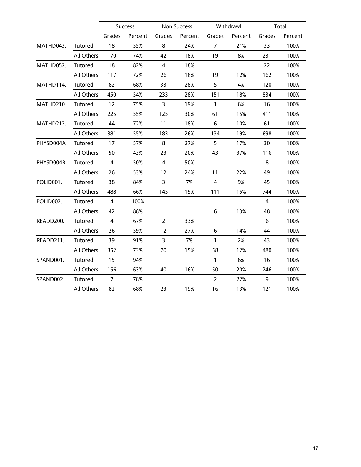|           |                   |                | Success |                | <b>Non Success</b> |                | Withdrawl |                | Total   |
|-----------|-------------------|----------------|---------|----------------|--------------------|----------------|-----------|----------------|---------|
|           |                   | Grades         | Percent | Grades         | Percent            | Grades         | Percent   | Grades         | Percent |
| MATHD043. | Tutored           | 18             | 55%     | 8              | 24%                | $\overline{7}$ | 21%       | 33             | 100%    |
|           | <b>All Others</b> | 170            | 74%     | 42             | 18%                | 19             | 8%        | 231            | 100%    |
| MATHD052. | Tutored           | 18             | 82%     | $\overline{4}$ | 18%                |                |           | 22             | 100%    |
|           | All Others        | 117            | 72%     | 26             | 16%                | 19             | 12%       | 162            | 100%    |
| MATHD114. | Tutored           | 82             | 68%     | 33             | 28%                | 5              | 4%        | 120            | 100%    |
|           | All Others        | 450            | 54%     | 233            | 28%                | 151            | 18%       | 834            | 100%    |
| MATHD210. | Tutored           | 12             | 75%     | $\overline{3}$ | 19%                | $\mathbf{1}$   | 6%        | 16             | 100%    |
|           | All Others        | 225            | 55%     | 125            | 30%                | 61             | 15%       | 411            | 100%    |
| MATHD212. | Tutored           | 44             | 72%     | 11             | 18%                | $6\phantom{1}$ | 10%       | 61             | 100%    |
|           | All Others        | 381            | 55%     | 183            | 26%                | 134            | 19%       | 698            | 100%    |
| PHYSD004A | Tutored           | 17             | 57%     | 8              | 27%                | 5              | 17%       | 30             | 100%    |
|           | All Others        | 50             | 43%     | 23             | 20%                | 43             | 37%       | 116            | 100%    |
| PHYSD004B | Tutored           | $\overline{4}$ | 50%     | $\overline{4}$ | 50%                |                |           | 8              | 100%    |
|           | All Others        | 26             | 53%     | 12             | 24%                | 11             | 22%       | 49             | 100%    |
| POLID001. | Tutored           | 38             | 84%     | $\overline{3}$ | 7%                 | 4              | 9%        | 45             | 100%    |
|           | All Others        | 488            | 66%     | 145            | 19%                | 111            | 15%       | 744            | 100%    |
| POLID002. | Tutored           | $\overline{4}$ | 100%    |                |                    |                |           | $\overline{4}$ | 100%    |
|           | All Others        | 42             | 88%     |                |                    | $6\,$          | 13%       | 48             | 100%    |
| READD200. | Tutored           | $\overline{4}$ | 67%     | $\overline{2}$ | 33%                |                |           | 6              | 100%    |
|           | All Others        | 26             | 59%     | 12             | 27%                | 6              | 14%       | 44             | 100%    |
| READD211. | Tutored           | 39             | 91%     | $\overline{3}$ | 7%                 | $\mathbf{1}$   | 2%        | 43             | 100%    |
|           | All Others        | 352            | 73%     | 70             | 15%                | 58             | 12%       | 480            | 100%    |
| SPAND001. | Tutored           | 15             | 94%     |                |                    | $\mathbf{1}$   | 6%        | 16             | 100%    |
|           | All Others        | 156            | 63%     | 40             | 16%                | 50             | 20%       | 246            | 100%    |
| SPAND002. | Tutored           | $\overline{7}$ | 78%     |                |                    | $\overline{2}$ | 22%       | 9              | 100%    |
|           | All Others        | 82             | 68%     | 23             | 19%                | 16             | 13%       | 121            | 100%    |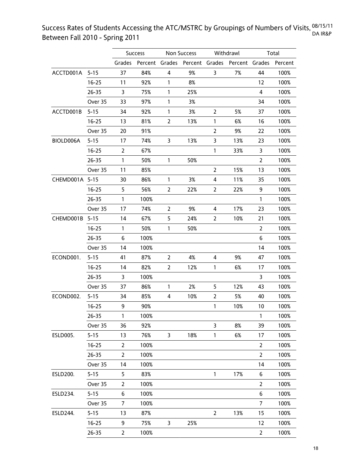Success Rates of Students Accessing the ATC/MSTRC by Groupings of Numbers of Visits, <sup>08/15/11</sup> Between Fall 2010 - Spring 2011 DA IR&P

|                 |           |                | Success |                         | <b>Non Success</b> |                | Withdrawl                                    |                | Total   |
|-----------------|-----------|----------------|---------|-------------------------|--------------------|----------------|----------------------------------------------|----------------|---------|
|                 |           | Grades         |         |                         |                    |                | Percent Grades Percent Grades Percent Grades |                | Percent |
| ACCTD001A       | $5 - 15$  | 37             | 84%     | $\overline{\mathbf{4}}$ | 9%                 | 3              | 7%                                           | 44             | 100%    |
|                 | $16 - 25$ | 11             | 92%     | 1                       | 8%                 |                |                                              | 12             | 100%    |
|                 | $26 - 35$ | 3              | 75%     | 1                       | 25%                |                |                                              | $\overline{4}$ | 100%    |
|                 | Over 35   | 33             | 97%     | 1                       | 3%                 |                |                                              | 34             | 100%    |
| ACCTD001B       | $5 - 15$  | 34             | 92%     | 1                       | 3%                 | $\overline{2}$ | 5%                                           | 37             | 100%    |
|                 | $16 - 25$ | 13             | 81%     | 2                       | 13%                | 1              | 6%                                           | 16             | 100%    |
|                 | Over 35   | 20             | 91%     |                         |                    | 2              | 9%                                           | 22             | 100%    |
| BIOLD006A       | $5 - 15$  | 17             | 74%     | 3                       | 13%                | 3              | 13%                                          | 23             | 100%    |
|                 | $16 - 25$ | $\overline{2}$ | 67%     |                         |                    | $\mathbf{1}$   | 33%                                          | 3              | 100%    |
|                 | 26-35     | 1              | 50%     | 1                       | 50%                |                |                                              | 2              | 100%    |
|                 | Over 35   | 11             | 85%     |                         |                    | $\overline{2}$ | 15%                                          | 13             | 100%    |
| CHEMD001A 5-15  |           | 30             | 86%     | $\mathbf{1}$            | 3%                 | 4              | 11%                                          | 35             | 100%    |
|                 | $16 - 25$ | 5              | 56%     | $\overline{2}$          | 22%                | $\overline{2}$ | 22%                                          | 9              | 100%    |
|                 | $26 - 35$ | 1              | 100%    |                         |                    |                |                                              | 1              | 100%    |
|                 | Over 35   | 17             | 74%     | 2                       | 9%                 | 4              | 17%                                          | 23             | 100%    |
| CHEMD001B       | $5 - 15$  | 14             | 67%     | 5                       | 24%                | 2              | 10%                                          | 21             | 100%    |
|                 | $16 - 25$ | 1              | 50%     | $\mathbf{1}$            | 50%                |                |                                              | 2              | 100%    |
|                 | 26-35     | 6              | 100%    |                         |                    |                |                                              | 6              | 100%    |
|                 | Over 35   | 14             | 100%    |                         |                    |                |                                              | 14             | 100%    |
| ECOND001.       | $5 - 15$  | 41             | 87%     | $\overline{2}$          | 4%                 | 4              | 9%                                           | 47             | 100%    |
|                 | $16 - 25$ | 14             | 82%     | $\overline{2}$          | 12%                | $\mathbf{1}$   | 6%                                           | 17             | 100%    |
|                 | $26 - 35$ | 3              | 100%    |                         |                    |                |                                              | 3              | 100%    |
|                 | Over 35   | 37             | 86%     | 1                       | 2%                 | 5              | 12%                                          | 43             | 100%    |
| ECOND002.       | $5 - 15$  | 34             | 85%     | 4                       | 10%                | $\overline{2}$ | 5%                                           | 40             | 100%    |
|                 | $16 - 25$ | 9              | 90%     |                         |                    | 1              | 10%                                          | 10             | 100%    |
|                 | 26-35     | 1              | 100%    |                         |                    |                |                                              | 1              | 100%    |
|                 | Over 35   | 36             | 92%     |                         |                    | $\overline{3}$ | 8%                                           | 39             | 100%    |
| <b>ESLD005.</b> | $5 - 15$  | 13             | 76%     | 3                       | 18%                | $\mathbf{1}$   | 6%                                           | 17             | 100%    |
|                 | $16 - 25$ | 2              | 100%    |                         |                    |                |                                              | $\overline{2}$ | 100%    |
|                 | 26-35     | 2              | 100%    |                         |                    |                |                                              | 2              | 100%    |
|                 | Over 35   | 14             | 100%    |                         |                    |                |                                              | 14             | 100%    |
| ESLD200.        | $5 - 15$  | 5              | 83%     |                         |                    | $\mathbf{1}$   | 17%                                          | 6              | 100%    |
|                 | Over 35   | 2              | 100%    |                         |                    |                |                                              | $\overline{2}$ | 100%    |
| ESLD234.        | $5 - 15$  | 6              | 100%    |                         |                    |                |                                              | 6              | 100%    |
|                 | Over 35   | 7              | 100%    |                         |                    |                |                                              | 7              | 100%    |
| ESLD244.        | $5 - 15$  | 13             | 87%     |                         |                    | $\overline{2}$ | 13%                                          | 15             | 100%    |
|                 | $16 - 25$ | 9              | 75%     | 3                       | 25%                |                |                                              | 12             | 100%    |
|                 | $26 - 35$ | $\overline{2}$ | 100%    |                         |                    |                |                                              | 2              | 100%    |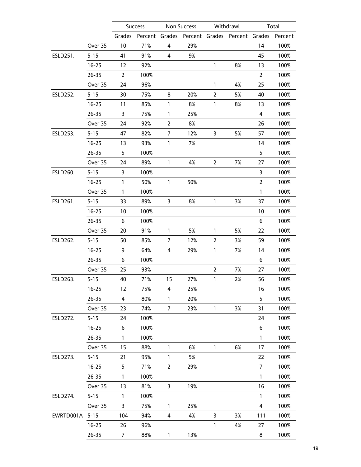|                 |           |                | Success |                | Non Success |                | Withdrawl                            |                | Total   |
|-----------------|-----------|----------------|---------|----------------|-------------|----------------|--------------------------------------|----------------|---------|
|                 |           | Grades         | Percent |                |             |                | Grades Percent Grades Percent Grades |                | Percent |
|                 | Over 35   | 10             | 71%     | 4              | 29%         |                |                                      | 14             | 100%    |
| ESLD251.        | $5 - 15$  | 41             | 91%     | 4              | 9%          |                |                                      | 45             | 100%    |
|                 | $16 - 25$ | 12             | 92%     |                |             | 1              | 8%                                   | 13             | 100%    |
|                 | $26 - 35$ | $\overline{2}$ | 100%    |                |             |                |                                      | 2              | 100%    |
|                 | Over 35   | 24             | 96%     |                |             | $\mathbf{1}$   | 4%                                   | 25             | 100%    |
| ESLD252.        | $5 - 15$  | 30             | 75%     | 8              | 20%         | $\overline{2}$ | 5%                                   | 40             | 100%    |
|                 | $16 - 25$ | 11             | 85%     | 1              | 8%          | $\mathbf{1}$   | 8%                                   | 13             | 100%    |
|                 | $26 - 35$ | 3              | 75%     | $\mathbf{1}$   | 25%         |                |                                      | 4              | 100%    |
|                 | Over 35   | 24             | 92%     | $\mathbf{2}$   | 8%          |                |                                      | 26             | 100%    |
| ESLD253.        | $5 - 15$  | 47             | 82%     | 7              | 12%         | 3              | 5%                                   | 57             | 100%    |
|                 | $16 - 25$ | 13             | 93%     | 1              | 7%          |                |                                      | 14             | 100%    |
|                 | $26 - 35$ | 5              | 100%    |                |             |                |                                      | 5              | 100%    |
|                 | Over 35   | 24             | 89%     | $\mathbf{1}$   | 4%          | $\mathbf{2}$   | 7%                                   | 27             | 100%    |
| ESLD260.        | $5 - 15$  | 3              | 100%    |                |             |                |                                      | 3              | 100%    |
|                 | $16 - 25$ | 1              | 50%     | 1              | 50%         |                |                                      | $\overline{2}$ | 100%    |
|                 | Over 35   | 1              | 100%    |                |             |                |                                      | $\mathbf{1}$   | 100%    |
| ESLD261.        | $5 - 15$  | 33             | 89%     | 3              | 8%          | $\mathbf{1}$   | 3%                                   | 37             | 100%    |
|                 | $16 - 25$ | 10             | 100%    |                |             |                |                                      | 10             | 100%    |
|                 | 26-35     | 6              | 100%    |                |             |                |                                      | 6              | 100%    |
|                 | Over 35   | 20             | 91%     | $\mathbf{1}$   | 5%          | $\mathbf{1}$   | 5%                                   | 22             | 100%    |
| ESLD262.        | $5 - 15$  | 50             | 85%     | 7              | 12%         | $\overline{2}$ | 3%                                   | 59             | 100%    |
|                 | $16 - 25$ | 9              | 64%     | 4              | 29%         | $\mathbf{1}$   | 7%                                   | 14             | 100%    |
|                 | $26 - 35$ | 6              | 100%    |                |             |                |                                      | 6              | 100%    |
|                 | Over 35   | 25             | 93%     |                |             | $\overline{2}$ | 7%                                   | 27             | 100%    |
| ESLD263.        | $5 - 15$  | 40             | 71%     | 15             | 27%         | $\mathbf{1}$   | 2%                                   | 56             | 100%    |
|                 | $16 - 25$ | 12             | 75%     | 4              | 25%         |                |                                      | 16             | 100%    |
|                 | $26 - 35$ | 4              | 80%     | 1              | 20%         |                |                                      | 5              | 100%    |
|                 | Over 35   | 23             | 74%     | 7              | 23%         | 1              | 3%                                   | 31             | 100%    |
| <b>ESLD272.</b> | $5 - 15$  | 24             | 100%    |                |             |                |                                      | 24             | 100%    |
|                 | $16 - 25$ | 6              | 100%    |                |             |                |                                      | 6              | 100%    |
|                 | 26-35     | 1              | 100%    |                |             |                |                                      | 1              | 100%    |
|                 | Over 35   | 15             | 88%     | $\mathbf{1}$   | 6%          | $\mathbf{1}$   | 6%                                   | 17             | 100%    |
| <b>ESLD273.</b> | $5 - 15$  | 21             | 95%     | $\mathbf{1}$   | 5%          |                |                                      | 22             | 100%    |
|                 | $16 - 25$ | 5              | 71%     | $\overline{2}$ | 29%         |                |                                      | $\overline{7}$ | 100%    |
|                 | 26-35     | 1              | 100%    |                |             |                |                                      | 1              | 100%    |
|                 | Over 35   | 13             | 81%     | 3              | 19%         |                |                                      | 16             | 100%    |
| <b>ESLD274.</b> | $5 - 15$  | 1              | 100%    |                |             |                |                                      | 1              | 100%    |
|                 | Over 35   | 3              | 75%     | 1              | 25%         |                |                                      | 4              | 100%    |
| EWRTD001A       | $5 - 15$  | 104            | 94%     | 4              | 4%          | 3              | 3%                                   | 111            | 100%    |
|                 | $16 - 25$ | 26             | 96%     |                |             | $\mathbf{1}$   | 4%                                   | 27             | 100%    |
|                 | $26 - 35$ | $\overline{7}$ | 88%     | $\mathbf{1}$   | 13%         |                |                                      | 8              | 100%    |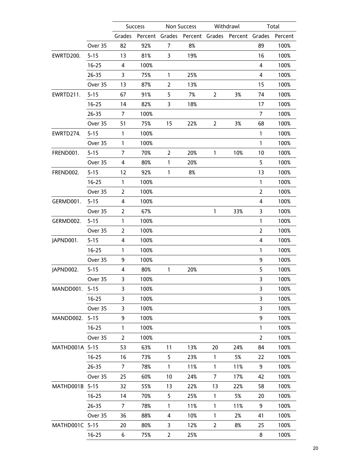|                |           |        | <b>Success</b> |                | Non Success |                | Withdrawl              |                | Total   |
|----------------|-----------|--------|----------------|----------------|-------------|----------------|------------------------|----------------|---------|
|                |           | Grades |                | Percent Grades |             |                | Percent Grades Percent | Grades         | Percent |
|                | Over 35   | 82     | 92%            | 7              | 8%          |                |                        | 89             | 100%    |
| EWRTD200.      | $5 - 15$  | 13     | 81%            | 3              | 19%         |                |                        | 16             | 100%    |
|                | $16 - 25$ | 4      | 100%           |                |             |                |                        | 4              | 100%    |
|                | $26 - 35$ | 3      | 75%            | 1              | 25%         |                |                        | 4              | 100%    |
|                | Over 35   | 13     | 87%            | $\overline{2}$ | 13%         |                |                        | 15             | 100%    |
| EWRTD211.      | $5 - 15$  | 67     | 91%            | 5              | 7%          | $\overline{2}$ | 3%                     | 74             | 100%    |
|                | $16 - 25$ | 14     | 82%            | 3              | 18%         |                |                        | 17             | 100%    |
|                | $26 - 35$ | 7      | 100%           |                |             |                |                        | 7              | 100%    |
|                | Over 35   | 51     | 75%            | 15             | 22%         | $\overline{2}$ | 3%                     | 68             | 100%    |
| EWRTD274.      | $5 - 15$  | 1      | 100%           |                |             |                |                        | $\mathbf{1}$   | 100%    |
|                | Over 35   | 1      | 100%           |                |             |                |                        | 1              | 100%    |
| FREND001.      | $5 - 15$  | 7      | 70%            | 2              | 20%         | $\mathbf{1}$   | 10%                    | 10             | 100%    |
|                | Over 35   | 4      | 80%            | 1              | 20%         |                |                        | 5              | 100%    |
| FREND002.      | $5 - 15$  | 12     | 92%            | 1              | 8%          |                |                        | 13             | 100%    |
|                | $16 - 25$ | 1      | 100%           |                |             |                |                        | 1              | 100%    |
|                | Over 35   | 2      | 100%           |                |             |                |                        | $\overline{2}$ | 100%    |
| GERMD001.      | $5 - 15$  | 4      | 100%           |                |             |                |                        | 4              | 100%    |
|                | Over 35   | 2      | 67%            |                |             | $\mathbf{1}$   | 33%                    | 3              | 100%    |
| GERMD002.      | $5 - 15$  | 1      | 100%           |                |             |                |                        | 1              | 100%    |
|                | Over 35   | 2      | 100%           |                |             |                |                        | $\overline{2}$ | 100%    |
| JAPND001.      | $5 - 15$  | 4      | 100%           |                |             |                |                        | 4              | 100%    |
|                | $16 - 25$ | 1      | 100%           |                |             |                |                        | $\mathbf{1}$   | 100%    |
|                | Over 35   | 9      | 100%           |                |             |                |                        | 9              | 100%    |
| JAPND002.      | $5 - 15$  | 4      | 80%            | 1              | 20%         |                |                        | 5              | 100%    |
|                | Over 35   | 3      | 100%           |                |             |                |                        | 3              | 100%    |
| MANDD001.      | $5 - 15$  | 3      | 100%           |                |             |                |                        | 3              | 100%    |
|                | $16 - 25$ | 3      | 100%           |                |             |                |                        | 3              | 100%    |
|                | Over 35   | 3      | 100%           |                |             |                |                        | 3              | 100%    |
| MANDD002.      | $5 - 15$  | 9      | 100%           |                |             |                |                        | 9              | 100%    |
|                | $16 - 25$ | 1      | 100%           |                |             |                |                        | $\mathbf{1}$   | 100%    |
|                | Over 35   | 2      | 100%           |                |             |                |                        | $\overline{2}$ | 100%    |
| MATHD001A 5-15 |           | 53     | 63%            | 11             | 13%         | 20             | 24%                    | 84             | 100%    |
|                | $16 - 25$ | 16     | 73%            | 5              | 23%         | 1              | 5%                     | 22             | 100%    |
|                | $26 - 35$ | 7      | 78%            | 1              | 11%         | $\mathbf{1}$   | 11%                    | 9              | 100%    |
|                | Over 35   | 25     | 60%            | 10             | 24%         | 7              | 17%                    | 42             | 100%    |
| MATHD001B 5-15 |           | 32     | 55%            | 13             | 22%         | 13             | 22%                    | 58             | 100%    |
|                | $16 - 25$ | 14     | 70%            | 5              | 25%         | $\mathbf{1}$   | 5%                     | 20             | 100%    |
|                | $26 - 35$ | 7      | 78%            | 1              | 11%         | $\mathbf{1}$   | 11%                    | 9              | 100%    |
|                | Over 35   | 36     | 88%            | 4              | 10%         | 1              | 2%                     | 41             | 100%    |
| MATHD001C 5-15 |           | 20     | 80%            | 3              | 12%         | 2              | 8%                     | 25             | 100%    |
|                | $16 - 25$ | 6      | 75%            | $\overline{2}$ | 25%         |                |                        | 8              | 100%    |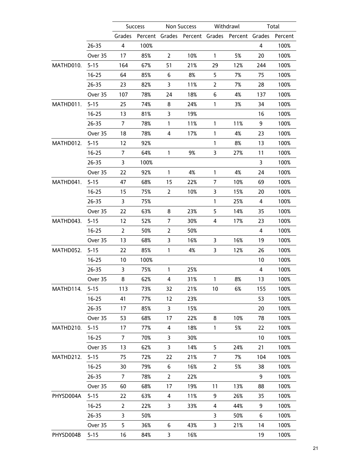|           |           |                       | <b>Success</b> |                | Non Success                                  |                | Withdrawl |     | Total   |
|-----------|-----------|-----------------------|----------------|----------------|----------------------------------------------|----------------|-----------|-----|---------|
|           |           | Grades                |                |                | Percent Grades Percent Grades Percent Grades |                |           |     | Percent |
|           | $26 - 35$ | 4                     | 100%           |                |                                              |                |           | 4   | 100%    |
|           | Over 35   | 17                    | 85%            | $\overline{2}$ | 10%                                          | $\mathbf{1}$   | 5%        | 20  | 100%    |
| MATHD010. | $5 - 15$  | 164                   | 67%            | 51             | 21%                                          | 29             | 12%       | 244 | 100%    |
|           | $16 - 25$ | 64                    | 85%            | 6              | 8%                                           | 5              | 7%        | 75  | 100%    |
|           | $26 - 35$ | 23                    | 82%            | 3              | 11%                                          | $\overline{2}$ | 7%        | 28  | 100%    |
|           | Over 35   | 107                   | 78%            | 24             | 18%                                          | 6              | 4%        | 137 | 100%    |
| MATHD011. | $5 - 15$  | 25                    | 74%            | 8              | 24%                                          | $\mathbf{1}$   | 3%        | 34  | 100%    |
|           | $16 - 25$ | 13                    | 81%            | 3              | 19%                                          |                |           | 16  | 100%    |
|           | $26 - 35$ | 7                     | 78%            | $\mathbf{1}$   | 11%                                          | $\mathbf{1}$   | 11%       | 9   | 100%    |
|           | Over 35   | 18                    | 78%            | 4              | 17%                                          | $\mathbf{1}$   | 4%        | 23  | 100%    |
| MATHD012. | $5 - 15$  | 12                    | 92%            |                |                                              | 1              | 8%        | 13  | 100%    |
|           | $16 - 25$ | 7                     | 64%            | $\mathbf{1}$   | 9%                                           | 3              | 27%       | 11  | 100%    |
|           | $26 - 35$ | 3                     | 100%           |                |                                              |                |           | 3   | 100%    |
|           | Over 35   | 22                    | 92%            | $\mathbf{1}$   | 4%                                           | $\mathbf{1}$   | 4%        | 24  | 100%    |
| MATHD041. | $5 - 15$  | 47                    | 68%            | 15             | 22%                                          | 7              | 10%       | 69  | 100%    |
|           | $16 - 25$ | 15                    | 75%            | $\overline{2}$ | 10%                                          | 3              | 15%       | 20  | 100%    |
|           | $26 - 35$ | 3                     | 75%            |                |                                              | $\mathbf{1}$   | 25%       | 4   | 100%    |
|           | Over 35   | 22                    | 63%            | 8              | 23%                                          | 5              | 14%       | 35  | 100%    |
| MATHD043. | $5 - 15$  | 12                    | 52%            | 7              | 30%                                          | 4              | 17%       | 23  | 100%    |
|           | $16 - 25$ | $\mathbf{2}^{\prime}$ | 50%            | 2              | 50%                                          |                |           | 4   | 100%    |
|           | Over 35   | 13                    | 68%            | 3              | 16%                                          | 3              | 16%       | 19  | 100%    |
| MATHD052. | $5 - 15$  | 22                    | 85%            | 1              | 4%                                           | 3              | 12%       | 26  | 100%    |
|           | $16 - 25$ | 10                    | 100%           |                |                                              |                |           | 10  | 100%    |
|           | $26 - 35$ | 3                     | 75%            | $\mathbf{1}$   | 25%                                          |                |           | 4   | 100%    |
|           | Over 35   | 8                     | 62%            | 4              | 31%                                          | $\mathbf{1}$   | 8%        | 13  | 100%    |
| MATHD114. | $5 - 15$  | 113                   | 73%            | 32             | 21%                                          | 10             | 6%        | 155 | 100%    |
|           | $16 - 25$ | 41                    | 77%            | 12             | 23%                                          |                |           | 53  | 100%    |
|           | $26 - 35$ | 17                    | 85%            | 3              | 15%                                          |                |           | 20  | 100%    |
|           | Over 35   | 53                    | 68%            | 17             | 22%                                          | 8              | 10%       | 78  | 100%    |
| MATHD210. | $5 - 15$  | 17                    | 77%            | 4              | 18%                                          | $\mathbf{1}$   | 5%        | 22  | 100%    |
|           | $16 - 25$ | 7                     | 70%            | 3              | 30%                                          |                |           | 10  | 100%    |
|           | Over 35   | 13                    | 62%            | 3              | 14%                                          | 5              | 24%       | 21  | 100%    |
| MATHD212. | $5 - 15$  | 75                    | 72%            | 22             | 21%                                          | 7              | 7%        | 104 | 100%    |
|           | $16 - 25$ | 30                    | 79%            | 6              | 16%                                          | $\overline{2}$ | 5%        | 38  | 100%    |
|           | $26 - 35$ | 7                     | 78%            | 2              | 22%                                          |                |           | 9   | 100%    |
|           | Over 35   | 60                    | 68%            | 17             | 19%                                          | 11             | 13%       | 88  | 100%    |
| PHYSD004A | $5 - 15$  | 22                    | 63%            | 4              | 11%                                          | 9              | 26%       | 35  | 100%    |
|           | $16 - 25$ | 2                     | 22%            | 3              | 33%                                          | 4              | 44%       | 9   | 100%    |
|           | $26 - 35$ | 3                     | 50%            |                |                                              | 3              | 50%       | 6   | 100%    |
|           | Over 35   | 5                     | 36%            | 6              | 43%                                          | 3              | 21%       | 14  | 100%    |
| PHYSD004B | $5 - 15$  | 16                    | 84%            | 3              | 16%                                          |                |           | 19  | 100%    |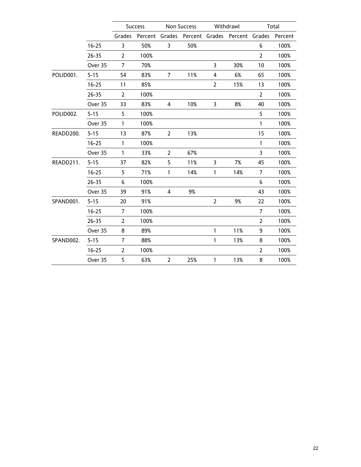|           |           |                | <b>Success</b> |                | Non Success                                  |              | Withdrawl |                | Total   |
|-----------|-----------|----------------|----------------|----------------|----------------------------------------------|--------------|-----------|----------------|---------|
|           |           | Grades         |                |                | Percent Grades Percent Grades Percent Grades |              |           |                | Percent |
|           | $16 - 25$ | 3              | 50%            | 3              | 50%                                          |              |           | 6              | 100%    |
|           | $26 - 35$ | $\overline{2}$ | 100%           |                |                                              |              |           | $\overline{2}$ | 100%    |
|           | Over 35   | 7              | 70%            |                |                                              | 3            | 30%       | 10             | 100%    |
| POLID001. | $5 - 15$  | 54             | 83%            | 7              | 11%                                          | 4            | 6%        | 65             | 100%    |
|           | $16 - 25$ | 11             | 85%            |                |                                              | 2            | 15%       | 13             | 100%    |
|           | $26 - 35$ | $\overline{2}$ | 100%           |                |                                              |              |           | $\overline{2}$ | 100%    |
|           | Over 35   | 33             | 83%            | 4              | 10%                                          | 3            | 8%        | 40             | 100%    |
| POLID002. | $5 - 15$  | 5              | 100%           |                |                                              |              |           | 5              | 100%    |
|           | Over 35   | $\mathbf{1}$   | 100%           |                |                                              |              |           | $\mathbf{1}$   | 100%    |
| READD200. | $5 - 15$  | 13             | 87%            | $\overline{2}$ | 13%                                          |              |           | 15             | 100%    |
|           | $16 - 25$ | 1              | 100%           |                |                                              |              |           | $\mathbf{1}$   | 100%    |
|           | Over 35   | $\mathbf{1}$   | 33%            | $\overline{2}$ | 67%                                          |              |           | 3              | 100%    |
| READD211. | $5 - 15$  | 37             | 82%            | 5              | 11%                                          | 3            | 7%        | 45             | 100%    |
|           | $16 - 25$ | 5              | 71%            | $\mathbf{1}$   | 14%                                          | 1            | 14%       | 7              | 100%    |
|           | $26 - 35$ | 6              | 100%           |                |                                              |              |           | 6              | 100%    |
|           | Over 35   | 39             | 91%            | 4              | 9%                                           |              |           | 43             | 100%    |
| SPAND001. | $5 - 15$  | 20             | 91%            |                |                                              | 2            | 9%        | 22             | 100%    |
|           | $16 - 25$ | 7              | 100%           |                |                                              |              |           | 7              | 100%    |
|           | $26 - 35$ | $\overline{2}$ | 100%           |                |                                              |              |           | $\overline{2}$ | 100%    |
|           | Over 35   | 8              | 89%            |                |                                              | $\mathbf{1}$ | 11%       | 9              | 100%    |
| SPAND002. | $5 - 15$  | 7              | 88%            |                |                                              | 1            | 13%       | 8              | 100%    |
|           | $16 - 25$ | 2              | 100%           |                |                                              |              |           | $\overline{2}$ | 100%    |
|           | Over 35   | 5              | 63%            | $\overline{2}$ | 25%                                          | $\mathbf{1}$ | 13%       | 8              | 100%    |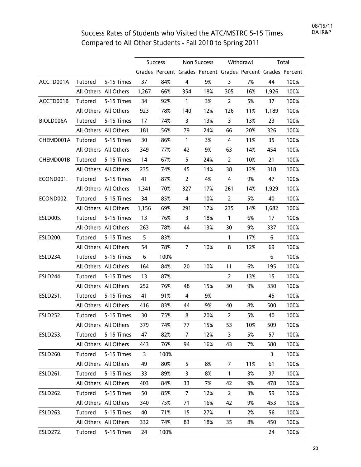## Success Rates of Students who Visited the ATC/MSTRC 5-15 Times Compared to All Other Students - Fall 2010 to Spring 2011

|                 |         |                       |              | <b>Success</b> | Non Success    |                                                             | Withdrawl      |     | Total |      |
|-----------------|---------|-----------------------|--------------|----------------|----------------|-------------------------------------------------------------|----------------|-----|-------|------|
|                 |         |                       |              |                |                | Grades Percent Grades Percent Grades Percent Grades Percent |                |     |       |      |
| ACCTD001A       | Tutored | 5-15 Times            | 37           | 84%            | 4              | 9%                                                          | 3              | 7%  | 44    | 100% |
|                 |         | All Others All Others | 1,267        | 66%            | 354            | 18%                                                         | 305            | 16% | 1,926 | 100% |
| ACCTD001B       | Tutored | 5-15 Times            | 34           | 92%            | $\mathbf{1}$   | 3%                                                          | $\overline{2}$ | 5%  | 37    | 100% |
|                 |         | All Others All Others | 923          | 78%            | 140            | 12%                                                         | 126            | 11% | 1,189 | 100% |
| BIOLD006A       | Tutored | 5-15 Times            | 17           | 74%            | $\mathsf{3}$   | 13%                                                         | 3              | 13% | 23    | 100% |
|                 |         | All Others All Others | 181          | 56%            | 79             | 24%                                                         | 66             | 20% | 326   | 100% |
| CHEMD001A       | Tutored | 5-15 Times            | 30           | 86%            | $\mathbf{1}$   | 3%                                                          | 4              | 11% | 35    | 100% |
|                 |         | All Others All Others | 349          | 77%            | 42             | 9%                                                          | 63             | 14% | 454   | 100% |
| CHEMD001B       | Tutored | 5-15 Times            | 14           | 67%            | 5              | 24%                                                         | $\overline{2}$ | 10% | 21    | 100% |
|                 |         | All Others All Others | 235          | 74%            | 45             | 14%                                                         | 38             | 12% | 318   | 100% |
| ECOND001.       | Tutored | 5-15 Times            | 41           | 87%            | $\overline{2}$ | 4%                                                          | 4              | 9%  | 47    | 100% |
|                 |         | All Others All Others | 1,341        | 70%            | 327            | 17%                                                         | 261            | 14% | 1,929 | 100% |
| ECOND002.       | Tutored | 5-15 Times            | 34           | 85%            | $\overline{4}$ | 10%                                                         | $\overline{2}$ | 5%  | 40    | 100% |
|                 |         | All Others All Others | 1,156        | 69%            | 291            | 17%                                                         | 235            | 14% | 1,682 | 100% |
| ESLD005.        | Tutored | 5-15 Times            | 13           | 76%            | 3              | 18%                                                         | $\mathbf{1}$   | 6%  | 17    | 100% |
|                 |         | All Others All Others | 263          | 78%            | 44             | 13%                                                         | 30             | 9%  | 337   | 100% |
| ESLD200.        | Tutored | 5-15 Times            | 5            | 83%            |                |                                                             | $\mathbf{1}$   | 17% | 6     | 100% |
|                 |         | All Others All Others | 54           | 78%            | $\overline{7}$ | 10%                                                         | 8              | 12% | 69    | 100% |
| ESLD234.        | Tutored | 5-15 Times            | 6            | 100%           |                |                                                             |                |     | 6     | 100% |
|                 |         | All Others All Others | 164          | 84%            | 20             | 10%                                                         | 11             | 6%  | 195   | 100% |
| ESLD244.        | Tutored | 5-15 Times            | 13           | 87%            |                |                                                             | $\overline{2}$ | 13% | 15    | 100% |
|                 |         | All Others All Others | 252          | 76%            | 48             | 15%                                                         | 30             | 9%  | 330   | 100% |
| ESLD251.        | Tutored | 5-15 Times            | 41           | 91%            | 4              | 9%                                                          |                |     | 45    | 100% |
|                 |         | All Others All Others | 416          | 83%            | 44             | 9%                                                          | 40             | 8%  | 500   | 100% |
| ESLD252.        | Tutored | 5-15 Times            | 30           | 75%            | 8              | 20%                                                         | $\overline{2}$ | 5%  | 40    | 100% |
|                 |         | All Others All Others | 379          | 74%            | 77             | 15%                                                         | 53             | 10% | 509   | 100% |
| ESLD253.        | Tutored | 5-15 Times            | 47           | 82%            | $\overline{7}$ | 12%                                                         | 3              | 5%  | 57    | 100% |
|                 |         | All Others All Others | 443          | 76%            | 94             | 16%                                                         | 43             | 7%  | 580   | 100% |
| ESLD260.        | Tutored | 5-15 Times            | $\mathsf{3}$ | 100%           |                |                                                             |                |     | 3     | 100% |
|                 |         | All Others All Others | 49           | 80%            | 5              | 8%                                                          | $\overline{7}$ | 11% | 61    | 100% |
| ESLD261.        | Tutored | 5-15 Times            | 33           | 89%            | 3              | 8%                                                          | $\mathbf{1}$   | 3%  | 37    | 100% |
|                 |         | All Others All Others | 403          | 84%            | 33             | 7%                                                          | 42             | 9%  | 478   | 100% |
| ESLD262.        | Tutored | 5-15 Times            | 50           | 85%            | $\overline{7}$ | 12%                                                         | $\overline{2}$ | 3%  | 59    | 100% |
|                 |         | All Others All Others | 340          | 75%            | 71             | 16%                                                         | 42             | 9%  | 453   | 100% |
| ESLD263.        | Tutored | 5-15 Times            | 40           | 71%            | 15             | 27%                                                         | $\mathbf{1}$   | 2%  | 56    | 100% |
|                 |         | All Others All Others | 332          | 74%            | 83             | 18%                                                         | 35             | 8%  | 450   | 100% |
| <b>ESLD272.</b> | Tutored | 5-15 Times            | 24           | 100%           |                |                                                             |                |     | 24    | 100% |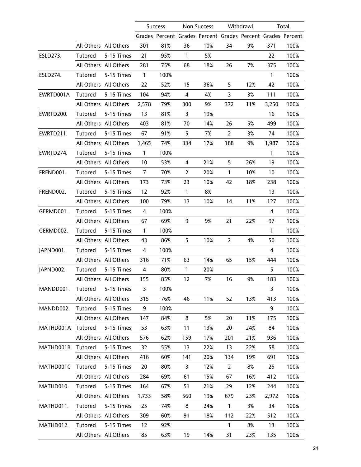|           |         |                       |                         | <b>Success</b> | Non Success Withdrawl |                                                             |                |     | Total        |      |
|-----------|---------|-----------------------|-------------------------|----------------|-----------------------|-------------------------------------------------------------|----------------|-----|--------------|------|
|           |         |                       |                         |                |                       | Grades Percent Grades Percent Grades Percent Grades Percent |                |     |              |      |
|           |         | All Others All Others | 301                     | 81%            | 36                    | 10%                                                         | 34             | 9%  | 371          | 100% |
| ESLD273.  | Tutored | 5-15 Times            | 21                      | 95%            | $\mathbf{1}$          | 5%                                                          |                |     | 22           | 100% |
|           |         | All Others All Others | 281                     | 75%            | 68                    | 18%                                                         | 26             | 7%  | 375          | 100% |
| ESLD274.  | Tutored | 5-15 Times            | $\overline{1}$          | 100%           |                       |                                                             |                |     | $\mathbf{1}$ | 100% |
|           |         | All Others All Others | 22                      | 52%            | 15                    | 36%                                                         | 5              | 12% | 42           | 100% |
| EWRTD001A | Tutored | 5-15 Times            | 104                     | 94%            | 4                     | 4%                                                          | 3              | 3%  | 111          | 100% |
|           |         | All Others All Others | 2,578                   | 79%            | 300                   | 9%                                                          | 372            | 11% | 3,250        | 100% |
| EWRTD200. | Tutored | 5-15 Times            | 13                      | 81%            | $\mathsf{3}$          | 19%                                                         |                |     | 16           | 100% |
|           |         | All Others All Others | 403                     | 81%            | 70                    | 14%                                                         | 26             | 5%  | 499          | 100% |
| EWRTD211. | Tutored | 5-15 Times            | 67                      | 91%            | 5                     | 7%                                                          | $\overline{2}$ | 3%  | 74           | 100% |
|           |         | All Others All Others | 1,465                   | 74%            | 334                   | 17%                                                         | 188            | 9%  | 1,987        | 100% |
| EWRTD274. | Tutored | 5-15 Times            | $\mathbf{1}$            | 100%           |                       |                                                             |                |     | 1            | 100% |
|           |         | All Others All Others | 10                      | 53%            | 4                     | 21%                                                         | 5              | 26% | 19           | 100% |
| FREND001. | Tutored | 5-15 Times            | $\overline{7}$          | 70%            | $\overline{2}$        | 20%                                                         | $\mathbf{1}$   | 10% | 10           | 100% |
|           |         | All Others All Others | 173                     | 73%            | 23                    | 10%                                                         | 42             | 18% | 238          | 100% |
| FREND002. | Tutored | 5-15 Times            | 12                      | 92%            | $\mathbf{1}$          | 8%                                                          |                |     | 13           | 100% |
|           |         | All Others All Others | 100                     | 79%            | 13                    | 10%                                                         | 14             | 11% | 127          | 100% |
| GERMD001. | Tutored | 5-15 Times            | $\overline{a}$          | 100%           |                       |                                                             |                |     | 4            | 100% |
|           |         | All Others All Others | 67                      | 69%            | 9                     | 9%                                                          | 21             | 22% | 97           | 100% |
| GERMD002. | Tutored | 5-15 Times            | $\mathbf{1}$            | 100%           |                       |                                                             |                |     | 1            | 100% |
|           |         | All Others All Others | 43                      | 86%            | 5                     | 10%                                                         | $\overline{2}$ | 4%  | 50           | 100% |
| JAPND001. | Tutored | 5-15 Times            | $\overline{\mathbf{4}}$ | 100%           |                       |                                                             |                |     | 4            | 100% |
|           |         | All Others All Others | 316                     | 71%            | 63                    | 14%                                                         | 65             | 15% | 444          | 100% |
| JAPND002. | Tutored | 5-15 Times            | $\overline{4}$          | 80%            | $\mathbf{1}$          | 20%                                                         |                |     | 5            | 100% |
|           |         | All Others All Others | 155                     | 85%            | 12                    | 7%                                                          | 16             | 9%  | 183          | 100% |
| MANDD001. | Tutored | 5-15 Times            | 3                       | 100%           |                       |                                                             |                |     | 3            | 100% |
|           |         | All Others All Others | 315                     | 76%            | 46                    | 11%                                                         | 52             | 13% | 413          | 100% |
| MANDD002. | Tutored | 5-15 Times            | 9                       | 100%           |                       |                                                             |                |     | 9            | 100% |
|           |         | All Others All Others | 147                     | 84%            | 8                     | 5%                                                          | 20             | 11% | 175          | 100% |
| MATHD001A | Tutored | 5-15 Times            | 53                      | 63%            | 11                    | 13%                                                         | 20             | 24% | 84           | 100% |
|           |         | All Others All Others | 576                     | 62%            | 159                   | 17%                                                         | 201            | 21% | 936          | 100% |
| MATHD001B | Tutored | 5-15 Times            | 32                      | 55%            | 13                    | 22%                                                         | 13             | 22% | 58           | 100% |
|           |         | All Others All Others | 416                     | 60%            | 141                   | 20%                                                         | 134            | 19% | 691          | 100% |
| MATHD001C | Tutored | 5-15 Times            | 20                      | 80%            | 3                     | 12%                                                         | $\overline{2}$ | 8%  | 25           | 100% |
|           |         | All Others All Others | 284                     | 69%            | 61                    | 15%                                                         | 67             | 16% | 412          | 100% |
| MATHD010. | Tutored | 5-15 Times            | 164                     | 67%            | 51                    | 21%                                                         | 29             | 12% | 244          | 100% |
|           |         | All Others All Others | 1,733                   | 58%            | 560                   | 19%                                                         | 679            | 23% | 2,972        | 100% |
| MATHD011. | Tutored | 5-15 Times            | 25                      | 74%            | 8                     | 24%                                                         | $\mathbf{1}$   | 3%  | 34           | 100% |
|           |         | All Others All Others | 309                     | 60%            | 91                    | 18%                                                         | 112            | 22% | 512          | 100% |
| MATHD012. | Tutored | 5-15 Times            | 12                      | 92%            |                       |                                                             | $\mathbf{1}$   | 8%  | 13           | 100% |
|           |         | All Others All Others | 85                      | 63%            | 19                    | 14%                                                         | 31             | 23% | 135          | 100% |